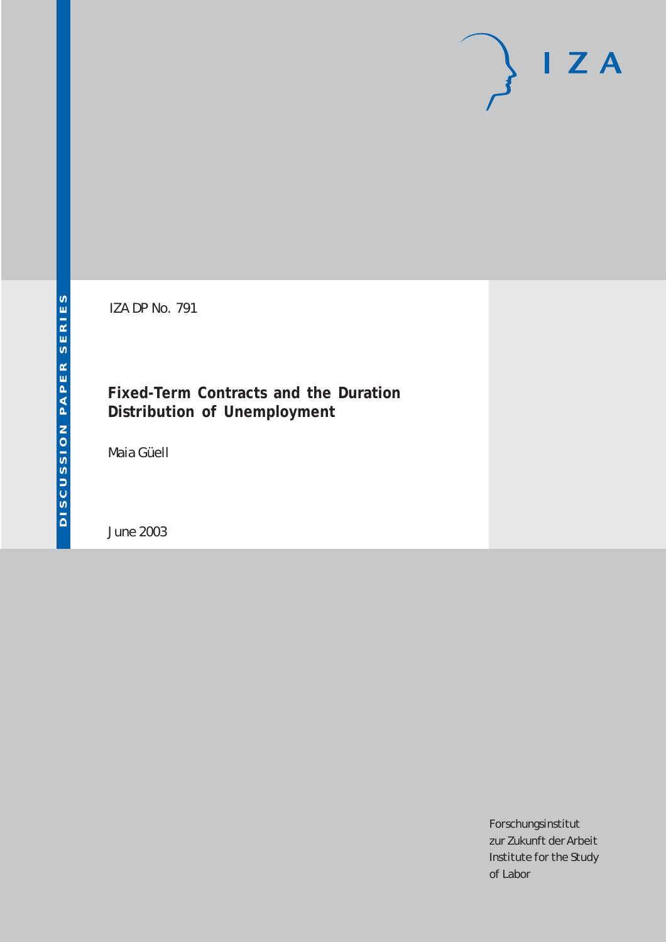# $I Z A$

IZA DP No. 791

## **Fixed-Term Contracts and the Duration Distribution of Unemployment**

Maia Güell

June 2003

Forschungsinstitut zur Zukunft der Arbeit Institute for the Study of Labor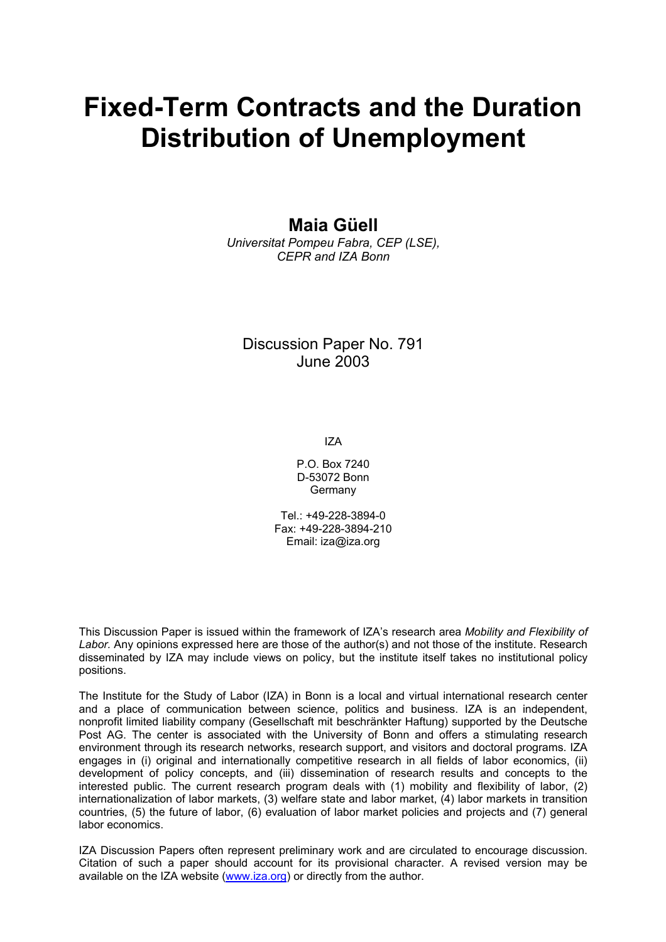# **Fixed-Term Contracts and the Duration Distribution of Unemployment**

**Maia Güell** 

*Universitat Pompeu Fabra, CEP (LSE), CEPR and IZA Bonn*

#### Discussion Paper No. 791 June 2003

IZA

P.O. Box 7240 D-53072 Bonn Germany

 $Tel + 49-228-3894-0$ Fax: +49-228-3894-210 Email: [iza@iza.org](mailto:iza@iza.org)

This Discussion Paper is issued within the framework of IZA's research area *Mobility and Flexibility of Labor.* Any opinions expressed here are those of the author(s) and not those of the institute. Research disseminated by IZA may include views on policy, but the institute itself takes no institutional policy positions.

The Institute for the Study of Labor (IZA) in Bonn is a local and virtual international research center and a place of communication between science, politics and business. IZA is an independent, nonprofit limited liability company (Gesellschaft mit beschränkter Haftung) supported by the Deutsche Post AG. The center is associated with the University of Bonn and offers a stimulating research environment through its research networks, research support, and visitors and doctoral programs. IZA engages in (i) original and internationally competitive research in all fields of labor economics, (ii) development of policy concepts, and (iii) dissemination of research results and concepts to the interested public. The current research program deals with (1) mobility and flexibility of labor, (2) internationalization of labor markets, (3) welfare state and labor market, (4) labor markets in transition countries, (5) the future of labor, (6) evaluation of labor market policies and projects and (7) general labor economics.

IZA Discussion Papers often represent preliminary work and are circulated to encourage discussion. Citation of such a paper should account for its provisional character. A revised version may be available on the IZA website ([www.iza.org](http://www.iza.org/)) or directly from the author.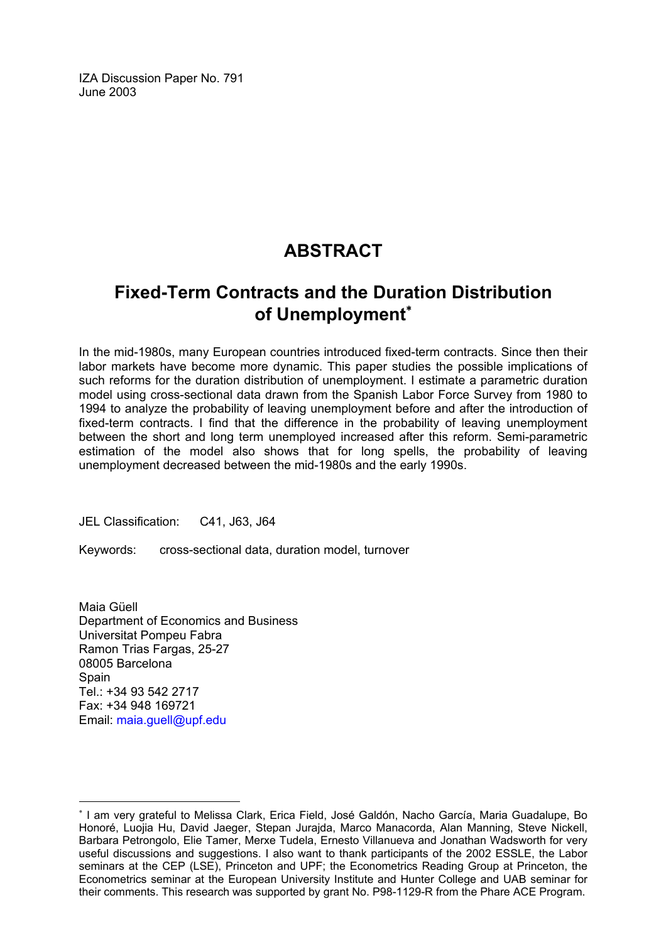IZA Discussion Paper No. 791 June 2003

## **ABSTRACT**

## **Fixed-Term Contracts and the Duration Distribution of Unemployment**[∗](#page-2-0)

In the mid-1980s, many European countries introduced fixed-term contracts. Since then their labor markets have become more dynamic. This paper studies the possible implications of such reforms for the duration distribution of unemployment. I estimate a parametric duration model using cross-sectional data drawn from the Spanish Labor Force Survey from 1980 to 1994 to analyze the probability of leaving unemployment before and after the introduction of fixed-term contracts. I find that the difference in the probability of leaving unemployment between the short and long term unemployed increased after this reform. Semi-parametric estimation of the model also shows that for long spells, the probability of leaving unemployment decreased between the mid-1980s and the early 1990s.

JEL Classification: C41, J63, J64

Keywords: cross-sectional data, duration model, turnover

Maia Güell Department of Economics and Business Universitat Pompeu Fabra Ramon Trias Fargas, 25-27 08005 Barcelona **Spain** Tel.: +34 93 542 2717 Fax: +34 948 169721 Email: [maia.guell@upf.edu](mailto:maia.guell@upf.edu)

 $\overline{a}$ 

<span id="page-2-0"></span><sup>∗</sup> I am very grateful to Melissa Clark, Erica Field, José Galdón, Nacho García, Maria Guadalupe, Bo Honoré, Luojia Hu, David Jaeger, Stepan Jurajda, Marco Manacorda, Alan Manning, Steve Nickell, Barbara Petrongolo, Elie Tamer, Merxe Tudela, Ernesto Villanueva and Jonathan Wadsworth for very useful discussions and suggestions. I also want to thank participants of the 2002 ESSLE, the Labor seminars at the CEP (LSE), Princeton and UPF; the Econometrics Reading Group at Princeton, the Econometrics seminar at the European University Institute and Hunter College and UAB seminar for their comments. This research was supported by grant No. P98-1129-R from the Phare ACE Program.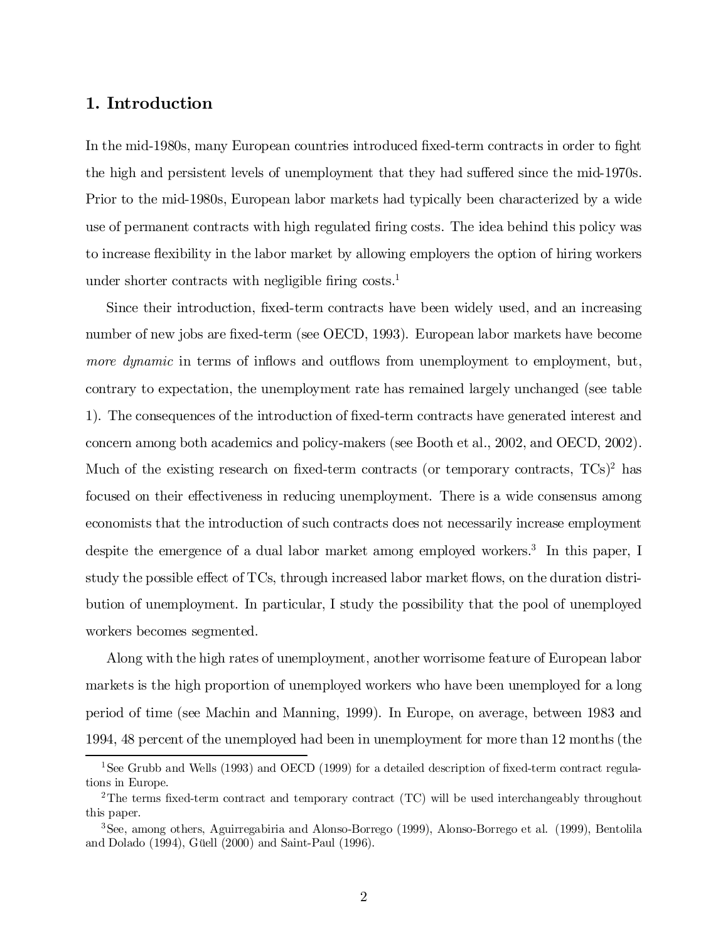#### 1. Introduction

In the mid-1980s, many European countries introduced fixed-term contracts in order to fight the high and persistent levels of unemployment that they had suffered since the mid-1970s. Prior to the mid-1980s, European labor markets had typically been characterized by a wide use of permanent contracts with high regulated firing costs. The idea behind this policy was to increase flexibility in the labor market by allowing employers the option of hiring workers under shorter contracts with negligible firing  $costs<sup>1</sup>$ .

Since their introduction, fixed-term contracts have been widely used, and an increasing number of new jobs are fixed-term (see OECD, 1993). European labor markets have become more dynamic in terms of inflows and outflows from unemployment to employment, but, contrary to expectation, the unemployment rate has remained largely unchanged (see table 1). The consequences of the introduction of fixed-term contracts have generated interest and concern among both academics and policy-makers (see Booth et al., 2002, and OECD, 2002). Much of the existing research on fixed-term contracts (or temporary contracts,  $TCs$ )<sup>2</sup> has focused on their effectiveness in reducing unemployment. There is a wide consensus among economists that the introduction of such contracts does not necessarily increase employment despite the emergence of a dual labor market among employed workers.<sup>3</sup> In this paper, I study the possible effect of TCs, through increased labor market flows, on the duration distribution of unemployment. In particular, I study the possibility that the pool of unemployed workers becomes segmented.

Along with the high rates of unemployment, another worrisome feature of European labor markets is the high proportion of unemployed workers who have been unemployed for a long period of time (see Machin and Manning, 1999). In Europe, on average, between 1983 and 1994, 48 percent of the unemployed had been in unemployment for more than 12 months (the

<sup>&</sup>lt;sup>1</sup>See Grubb and Wells (1993) and OECD (1999) for a detailed description of fixed-term contract regulations in Europe.

<sup>&</sup>lt;sup>2</sup>The terms fixed-term contract and temporary contract (TC) will be used interchangeably throughout this paper.

<sup>3</sup>See, among others, Aguirregabiria and Alonso-Borrego (1999), Alonso-Borrego et al. (1999), Bentolila and Dolado (1994), Güell (2000) and Saint-Paul (1996).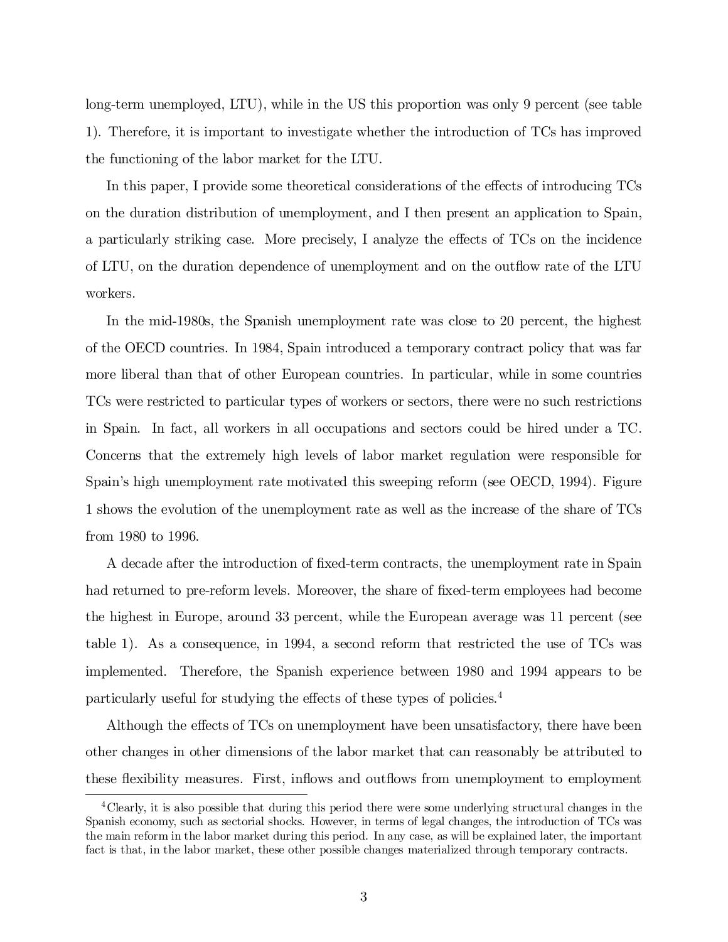long-term unemployed, LTU), while in the US this proportion was only 9 percent (see table 1). Therefore, it is important to investigate whether the introduction of TCs has improved the functioning of the labor market for the LTU.

In this paper, I provide some theoretical considerations of the effects of introducing TCs on the duration distribution of unemployment, and I then present an application to Spain, a particularly striking case. More precisely, I analyze the effects of TCs on the incidence of LTU, on the duration dependence of unemployment and on the outflow rate of the LTU workers.

In the mid-1980s, the Spanish unemployment rate was close to 20 percent, the highest of the OECD countries. In 1984, Spain introduced a temporary contract policy that was far more liberal than that of other European countries. In particular, while in some countries TCs were restricted to particular types of workers or sectors, there were no such restrictions in Spain. In fact, all workers in all occupations and sectors could be hired under a TC. Concerns that the extremely high levels of labor market regulation were responsible for Spain's high unemployment rate motivated this sweeping reform (see OECD, 1994). Figure 1 shows the evolution of the unemployment rate as well as the increase of the share of TCs from 1980 to 1996.

A decade after the introduction of fixed-term contracts, the unemployment rate in Spain had returned to pre-reform levels. Moreover, the share of fixed-term employees had become the highest in Europe, around 33 percent, while the European average was 11 percent (see table 1). As a consequence, in 1994, a second reform that restricted the use of TCs was implemented. Therefore, the Spanish experience between 1980 and 1994 appears to be particularly useful for studying the effects of these types of policies.<sup>4</sup>

Although the effects of TCs on unemployment have been unsatisfactory, there have been other changes in other dimensions of the labor market that can reasonably be attributed to these flexibility measures. First, inflows and outflows from unemployment to employment

<sup>&</sup>lt;sup>4</sup>Clearly, it is also possible that during this period there were some underlying structural changes in the Spanish economy, such as sectorial shocks. However, in terms of legal changes, the introduction of TCs was the main reform in the labor market during this period. In any case, as will be explained later, the important fact is that, in the labor market, these other possible changes materialized through temporary contracts.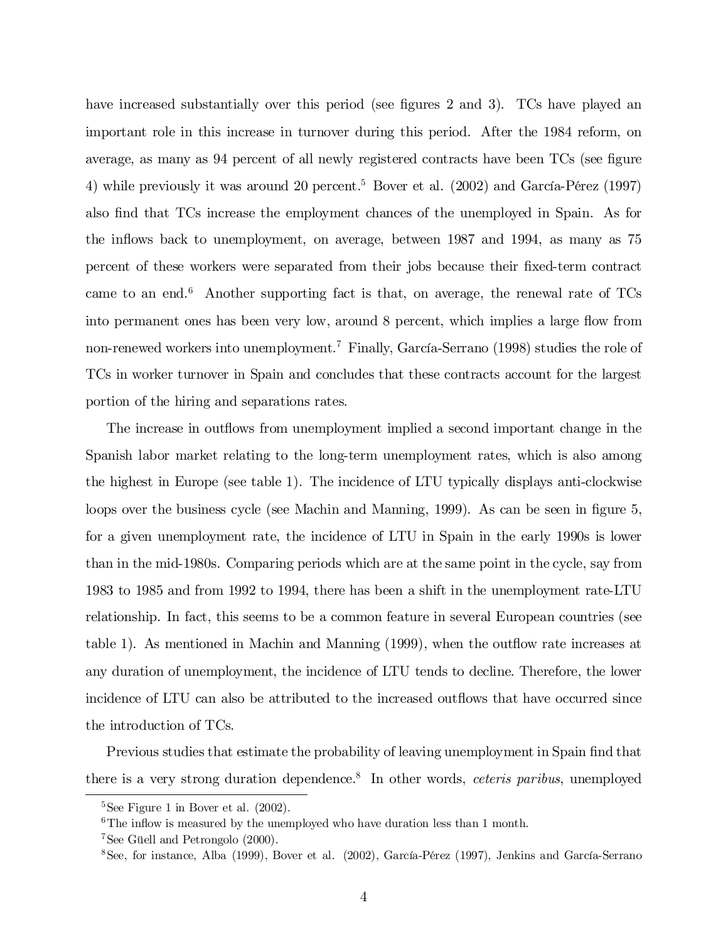have increased substantially over this period (see figures 2 and 3). TCs have played an important role in this increase in turnover during this period. After the 1984 reform, on average, as many as 94 percent of all newly registered contracts have been TCs (see figure 4) while previously it was around 20 percent. <sup>5</sup> Bover et al. (2002) and García-Pérez (1997) also find that TCs increase the employment chances of the unemployed in Spain. As for the in‡ows back to unemployment, on average, between 1987 and 1994, as many as 75 percent of these workers were separated from their jobs because their fixed-term contract came to an end. <sup>6</sup> Another supporting fact is that, on average, the renewal rate of TCs into permanent ones has been very low, around 8 percent, which implies a large flow from non-renewed workers into unemployment.<sup>7</sup> Finally, García-Serrano (1998) studies the role of TCs in worker turnover in Spain and concludes that these contracts account for the largest portion of the hiring and separations rates.

The increase in outflows from unemployment implied a second important change in the Spanish labor market relating to the long-term unemployment rates, which is also among the highest in Europe (see table 1). The incidence of LTU typically displays anti-clockwise loops over the business cycle (see Machin and Manning, 1999). As can be seen in figure 5, for a given unemployment rate, the incidence of LTU in Spain in the early 1990s is lower than in the mid-1980s. Comparing periods which are at the same point in the cycle, say from 1983 to 1985 and from 1992 to 1994, there has been a shift in the unemployment rate-LTU relationship. In fact, this seems to be a common feature in several European countries (see table 1). As mentioned in Machin and Manning  $(1999)$ , when the outflow rate increases at any duration of unemployment, the incidence of LTU tends to decline. Therefore, the lower incidence of LTU can also be attributed to the increased outflows that have occurred since the introduction of TCs.

Previous studies that estimate the probability of leaving unemployment in Spain find that there is a very strong duration dependence.<sup>8</sup> In other words, *ceteris paribus*, unemployed

 $5$ See Figure 1 in Bover et al.  $(2002)$ .

 $6$ The inflow is measured by the unemployed who have duration less than 1 month.

<sup>7</sup>See Güell and Petrongolo (2000).

<sup>8</sup>See, for instance, Alba (1999), Bover et al. (2002), García-Pérez (1997), Jenkins and García-Serrano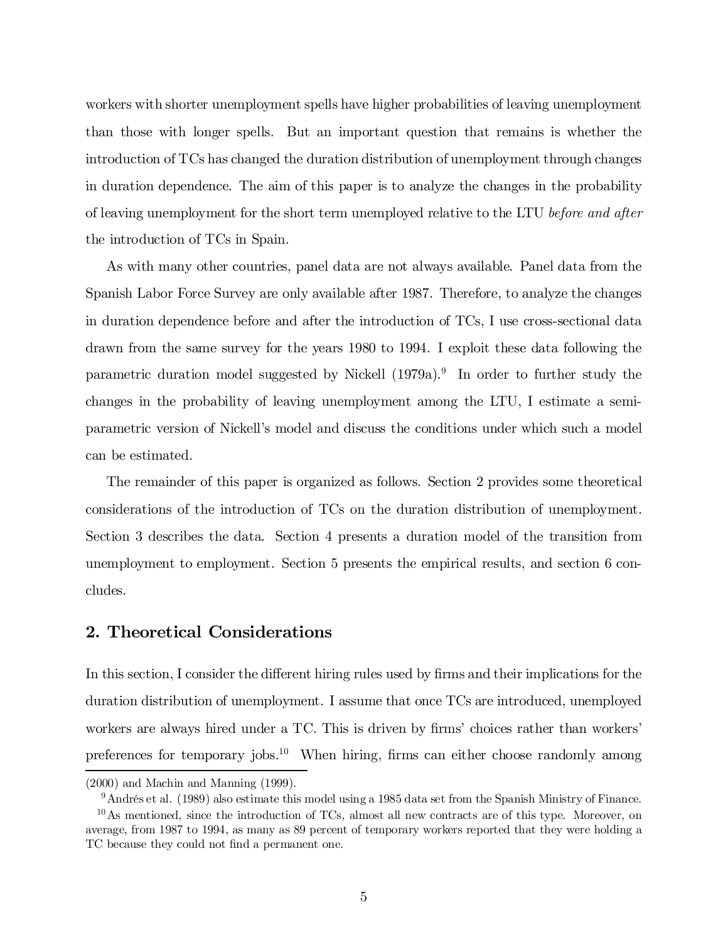workers with shorter unemployment spells have higher probabilities of leaving unemployment than those with longer spells. But an important question that remains is whether the introduction of TCs has changed the duration distribution of unemployment through changes in duration dependence. The aim of this paper is to analyze the changes in the probability of leaving unemployment for the short term unemployed relative to the LTU before and after the introduction of TCs in Spain.

As with many other countries, panel data are not always available. Panel data from the Spanish Labor Force Survey are only available after 1987. Therefore, to analyze the changes in duration dependence before and after the introduction of TCs, I use cross-sectional data drawn from the same survey for the years 1980 to 1994. I exploit these data following the parametric duration model suggested by Nickell (1979a). 9 In order to further study the changes in the probability of leaving unemployment among the LTU, I estimate a semiparametric version of Nickell's model and discuss the conditions under which such a model can be estimated.

The remainder of this paper is organized as follows. Section 2 provides some theoretical considerations of the introduction of TCs on the duration distribution of unemployment. Section 3 describes the data. Section 4 presents a duration model of the transition from unemployment to employment. Section 5 presents the empirical results, and section 6 concludes.

#### 2. Theoretical Considerations

In this section, I consider the different hiring rules used by firms and their implications for the duration distribution of unemployment. I assume that once TCs are introduced, unemployed workers are always hired under a TC. This is driven by firms' choices rather than workers' preferences for temporary jobs.<sup>10</sup> When hiring, firms can either choose randomly among

<sup>(2000)</sup> and Machin and Manning (1999).

<sup>9</sup>Andrés et al. (1989) also estimate this model using a 1985 data set from the Spanish Ministry of Finance.

 $10$ As mentioned, since the introduction of TCs, almost all new contracts are of this type. Moreover, on average, from 1987 to 1994, as many as 89 percent of temporary workers reported that they were holding a TC because they could not find a permanent one.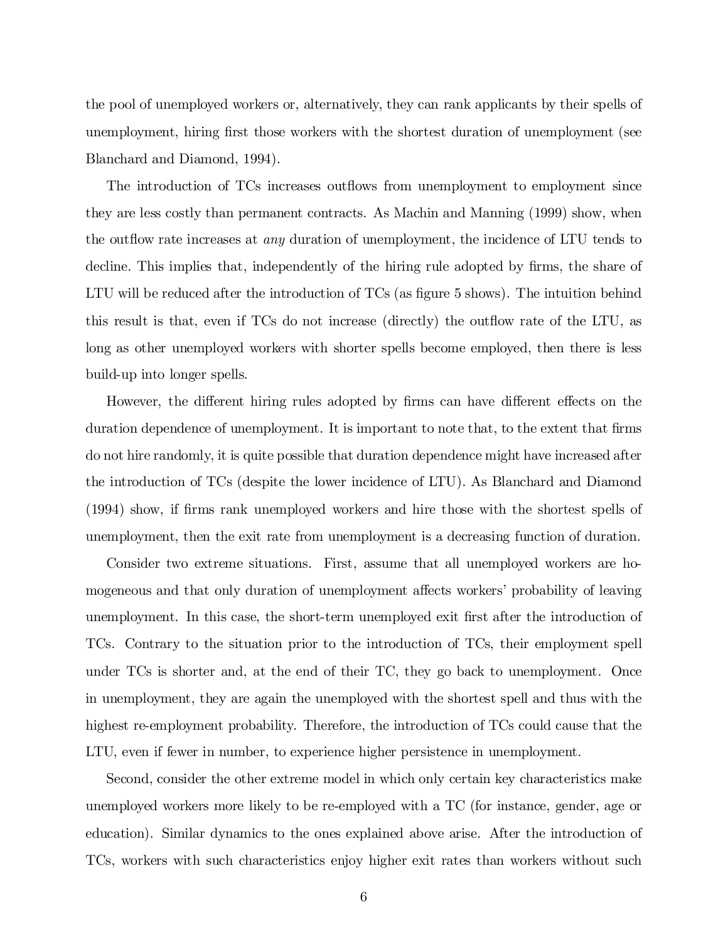the pool of unemployed workers or, alternatively, they can rank applicants by their spells of unemployment, hiring first those workers with the shortest duration of unemployment (see Blanchard and Diamond, 1994).

The introduction of TCs increases outflows from unemployment to employment since they are less costly than permanent contracts. As Machin and Manning (1999) show, when the outflow rate increases at *any* duration of unemployment, the incidence of LTU tends to decline. This implies that, independently of the hiring rule adopted by firms, the share of LTU will be reduced after the introduction of  $TCs$  (as figure 5 shows). The intuition behind this result is that, even if TCs do not increase (directly) the outflow rate of the LTU, as long as other unemployed workers with shorter spells become employed, then there is less build-up into longer spells.

However, the different hiring rules adopted by firms can have different effects on the duration dependence of unemployment. It is important to note that, to the extent that firms do not hire randomly, it is quite possible that duration dependence might have increased after the introduction of TCs (despite the lower incidence of LTU). As Blanchard and Diamond (1994) show, if firms rank unemployed workers and hire those with the shortest spells of unemployment, then the exit rate from unemployment is a decreasing function of duration.

Consider two extreme situations. First, assume that all unemployed workers are homogeneous and that only duration of unemployment affects workers' probability of leaving unemployment. In this case, the short-term unemployed exit first after the introduction of TCs. Contrary to the situation prior to the introduction of TCs, their employment spell under TCs is shorter and, at the end of their TC, they go back to unemployment. Once in unemployment, they are again the unemployed with the shortest spell and thus with the highest re-employment probability. Therefore, the introduction of TCs could cause that the LTU, even if fewer in number, to experience higher persistence in unemployment.

Second, consider the other extreme model in which only certain key characteristics make unemployed workers more likely to be re-employed with a TC (for instance, gender, age or education). Similar dynamics to the ones explained above arise. After the introduction of TCs, workers with such characteristics enjoy higher exit rates than workers without such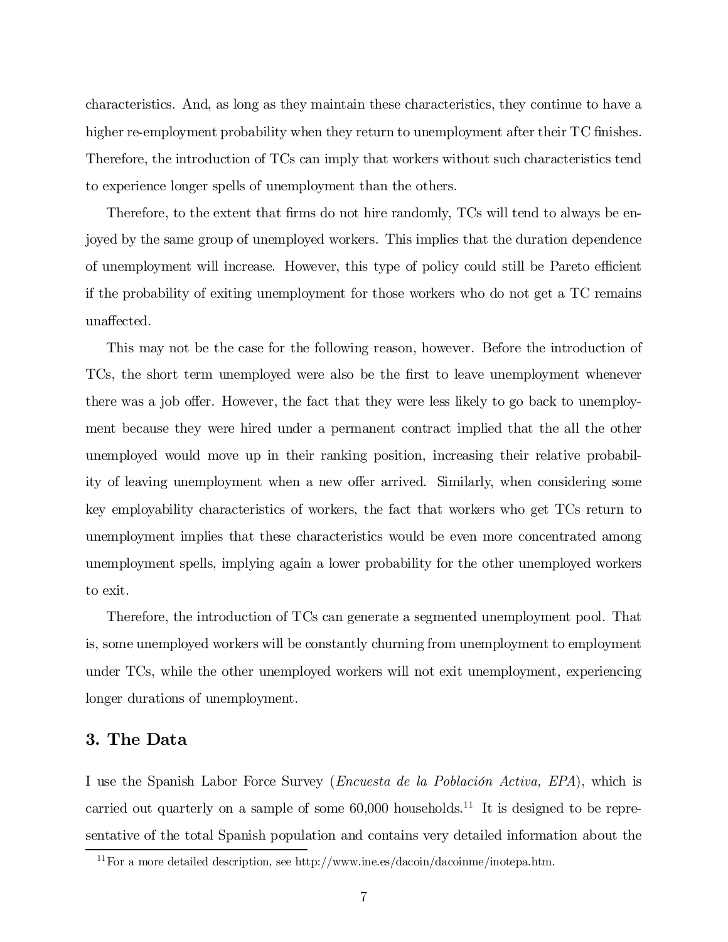characteristics. And, as long as they maintain these characteristics, they continue to have a higher re-employment probability when they return to unemployment after their TC finishes. Therefore, the introduction of TCs can imply that workers without such characteristics tend to experience longer spells of unemployment than the others.

Therefore, to the extent that firms do not hire randomly, TCs will tend to always be enjoyed by the same group of unemployed workers. This implies that the duration dependence of unemployment will increase. However, this type of policy could still be Pareto efficient if the probability of exiting unemployment for those workers who do not get a TC remains unaffected.

This may not be the case for the following reason, however. Before the introduction of TCs, the short term unemployed were also be the first to leave unemployment whenever there was a job offer. However, the fact that they were less likely to go back to unemployment because they were hired under a permanent contract implied that the all the other unemployed would move up in their ranking position, increasing their relative probability of leaving unemployment when a new offer arrived. Similarly, when considering some key employability characteristics of workers, the fact that workers who get TCs return to unemployment implies that these characteristics would be even more concentrated among unemployment spells, implying again a lower probability for the other unemployed workers to exit.

Therefore, the introduction of TCs can generate a segmented unemployment pool. That is, some unemployed workers will be constantly churning from unemployment to employment under TCs, while the other unemployed workers will not exit unemployment, experiencing longer durations of unemployment.

#### 3. The Data

I use the Spanish Labor Force Survey (Encuesta de la Población Activa, EPA), which is carried out quarterly on a sample of some  $60,000$  households.<sup>11</sup> It is designed to be representative of the total Spanish population and contains very detailed information about the

<sup>&</sup>lt;sup>11</sup> For a more detailed description, see http://www.ine.es/dacoin/dacoinme/inotepa.htm.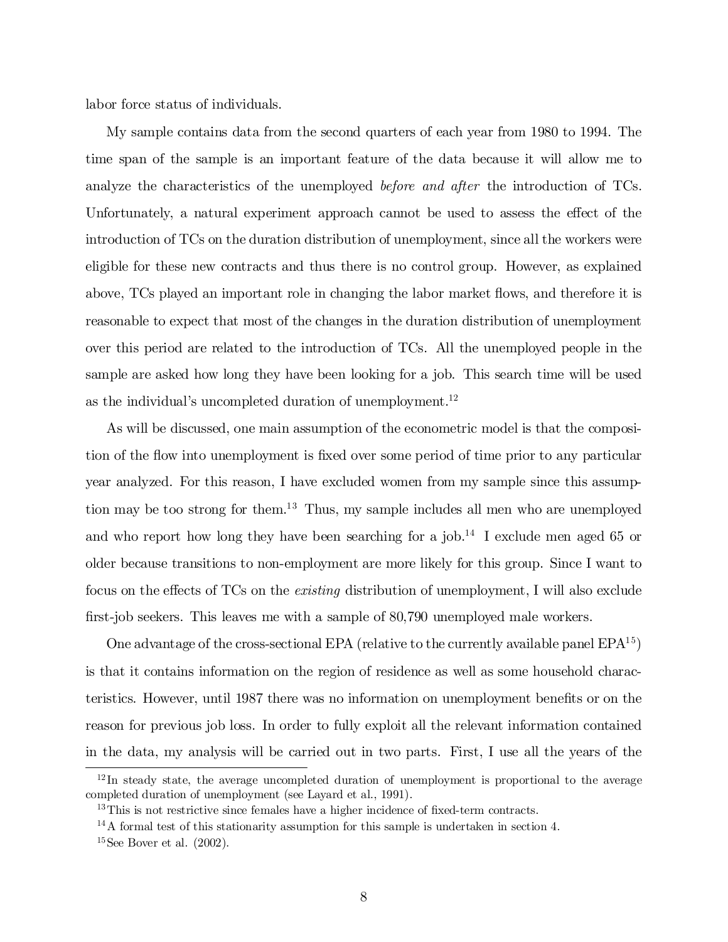labor force status of individuals.

My sample contains data from the second quarters of each year from 1980 to 1994. The time span of the sample is an important feature of the data because it will allow me to analyze the characteristics of the unemployed before and after the introduction of TCs. Unfortunately, a natural experiment approach cannot be used to assess the effect of the introduction of TCs on the duration distribution of unemployment, since all the workers were eligible for these new contracts and thus there is no control group. However, as explained above, TCs played an important role in changing the labor market flows, and therefore it is reasonable to expect that most of the changes in the duration distribution of unemployment over this period are related to the introduction of TCs. All the unemployed people in the sample are asked how long they have been looking for a job. This search time will be used as the individual's uncompleted duration of unemployment. 12

As will be discussed, one main assumption of the econometric model is that the composition of the flow into unemployment is fixed over some period of time prior to any particular year analyzed. For this reason, I have excluded women from my sample since this assumption may be too strong for them. <sup>13</sup> Thus, my sample includes all men who are unemployed and who report how long they have been searching for a job. 14 I exclude men aged 65 or older because transitions to non-employment are more likely for this group. Since I want to focus on the effects of TCs on the *existing* distribution of unemployment, I will also exclude first-job seekers. This leaves me with a sample of 80,790 unemployed male workers.

One advantage of the cross-sectional EPA (relative to the currently available panel  $EPA<sup>15</sup>$ ) is that it contains information on the region of residence as well as some household characteristics. However, until 1987 there was no information on unemployment benefits or on the reason for previous job loss. In order to fully exploit all the relevant information contained in the data, my analysis will be carried out in two parts. First, I use all the years of the

<sup>&</sup>lt;sup>12</sup>In steady state, the average uncompleted duration of unemployment is proportional to the average completed duration of unemployment (see Layard et al., 1991).

 $13$ This is not restrictive since females have a higher incidence of fixed-term contracts.

<sup>&</sup>lt;sup>14</sup>A formal test of this stationarity assumption for this sample is undertaken in section 4.

 $15$  See Bover et al.  $(2002)$ .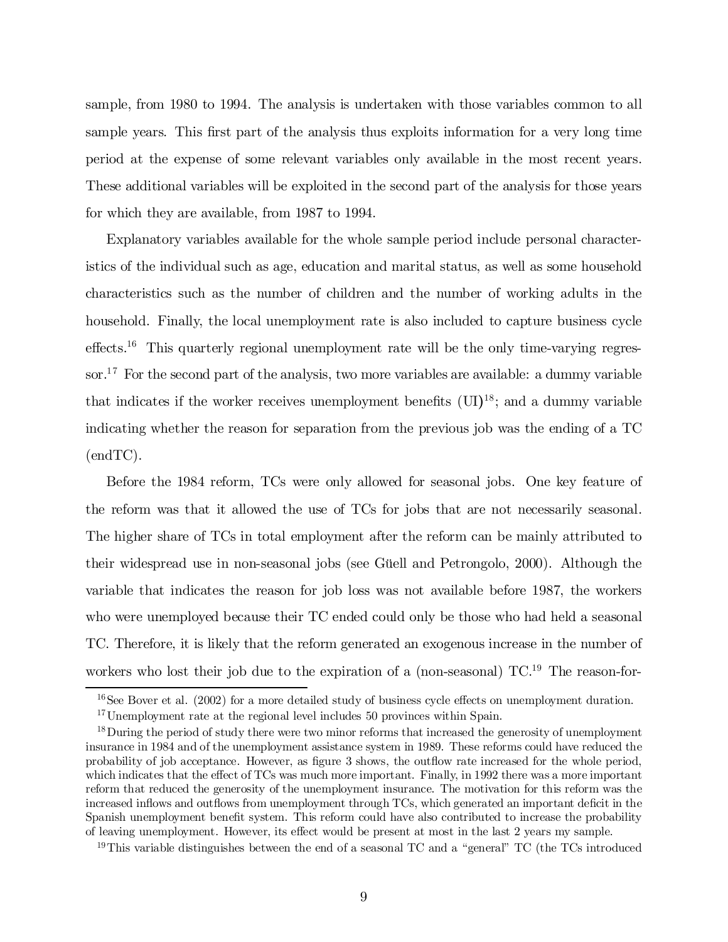sample, from 1980 to 1994. The analysis is undertaken with those variables common to all sample years. This first part of the analysis thus exploits information for a very long time period at the expense of some relevant variables only available in the most recent years. These additional variables will be exploited in the second part of the analysis for those years for which they are available, from 1987 to 1994.

Explanatory variables available for the whole sample period include personal characteristics of the individual such as age, education and marital status, as well as some household characteristics such as the number of children and the number of working adults in the household. Finally, the local unemployment rate is also included to capture business cycle  $\text{effects.}^{16}$  This quarterly regional unemployment rate will be the only time-varying regressor.<sup>17</sup> For the second part of the analysis, two more variables are available: a dummy variable that indicates if the worker receives unemployment benefits  $(\text{UI})^{18}$ ; and a dummy variable indicating whether the reason for separation from the previous job was the ending of a TC (endTC).

Before the 1984 reform, TCs were only allowed for seasonal jobs. One key feature of the reform was that it allowed the use of TCs for jobs that are not necessarily seasonal. The higher share of TCs in total employment after the reform can be mainly attributed to their widespread use in non-seasonal jobs (see Güell and Petrongolo, 2000). Although the variable that indicates the reason for job loss was not available before 1987, the workers who were unemployed because their TC ended could only be those who had held a seasonal TC. Therefore, it is likely that the reform generated an exogenous increase in the number of workers who lost their job due to the expiration of a (non-seasonal) TC.<sup>19</sup> The reason-for-

 $16$  See Bover et al. (2002) for a more detailed study of business cycle effects on unemployment duration.

<sup>&</sup>lt;sup>17</sup>Unemployment rate at the regional level includes 50 provinces within Spain.

<sup>&</sup>lt;sup>18</sup> During the period of study there were two minor reforms that increased the generosity of unemployment insurance in 1984 and of the unemployment assistance system in 1989. These reforms could have reduced the probability of job acceptance. However, as figure 3 shows, the outflow rate increased for the whole period, which indicates that the effect of TCs was much more important. Finally, in 1992 there was a more important reform that reduced the generosity of the unemployment insurance. The motivation for this reform was the increased inflows and outflows from unemployment through TCs, which generated an important deficit in the Spanish unemployment benefit system. This reform could have also contributed to increase the probability of leaving unemployment. However, its effect would be present at most in the last 2 years my sample.

<sup>&</sup>lt;sup>19</sup>This variable distinguishes between the end of a seasonal TC and a "general" TC (the TCs introduced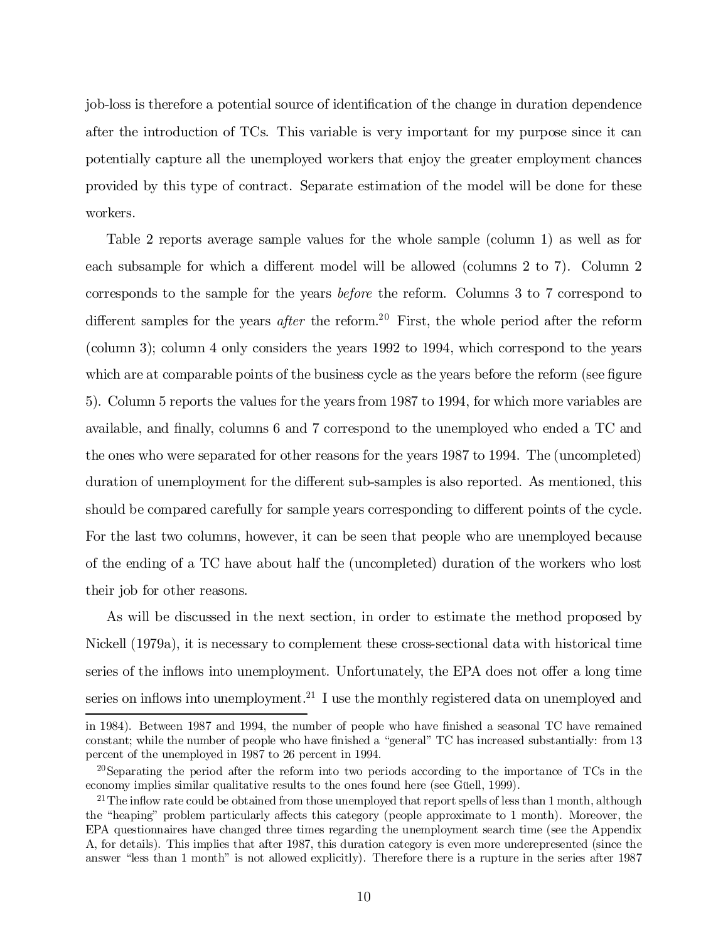job-loss is therefore a potential source of identification of the change in duration dependence after the introduction of TCs. This variable is very important for my purpose since it can potentially capture all the unemployed workers that enjoy the greater employment chances provided by this type of contract. Separate estimation of the model will be done for these workers.

Table 2 reports average sample values for the whole sample (column 1) as well as for each subsample for which a different model will be allowed (columns  $2$  to  $7$ ). Column  $2$ corresponds to the sample for the years before the reform. Columns 3 to 7 correspond to different samples for the years *after* the reform.<sup>20</sup> First, the whole period after the reform (column 3); column 4 only considers the years 1992 to 1994, which correspond to the years which are at comparable points of the business cycle as the years before the reform (see figure 5). Column 5 reports the values for the years from 1987 to 1994, for which more variables are available, and finally, columns  $6$  and  $7$  correspond to the unemployed who ended a  $TC$  and the ones who were separated for other reasons for the years 1987 to 1994. The (uncompleted) duration of unemployment for the different sub-samples is also reported. As mentioned, this should be compared carefully for sample years corresponding to different points of the cycle. For the last two columns, however, it can be seen that people who are unemployed because of the ending of a TC have about half the (uncompleted) duration of the workers who lost their job for other reasons.

As will be discussed in the next section, in order to estimate the method proposed by Nickell (1979a), it is necessary to complement these cross-sectional data with historical time series of the inflows into unemployment. Unfortunately, the EPA does not offer a long time series on inflows into unemployment.<sup>21</sup> I use the monthly registered data on unemployed and

in 1984). Between 1987 and 1994, the number of people who have finished a seasonal TC have remained constant; while the number of people who have finished a "general" TC has increased substantially: from 13 percent of the unemployed in 1987 to 26 percent in 1994.

<sup>&</sup>lt;sup>20</sup>Separating the period after the reform into two periods according to the importance of TCs in the economy implies similar qualitative results to the ones found here (see Güell, 1999).

<sup>&</sup>lt;sup>21</sup> The inflow rate could be obtained from those unemployed that report spells of less than 1 month, although the "heaping" problem particularly affects this category (people approximate to 1 month). Moreover, the EPA questionnaires have changed three times regarding the unemployment search time (see the Appendix A, for details). This implies that after 1987, this duration category is even more underepresented (since the answer "less than 1 month" is not allowed explicitly). Therefore there is a rupture in the series after 1987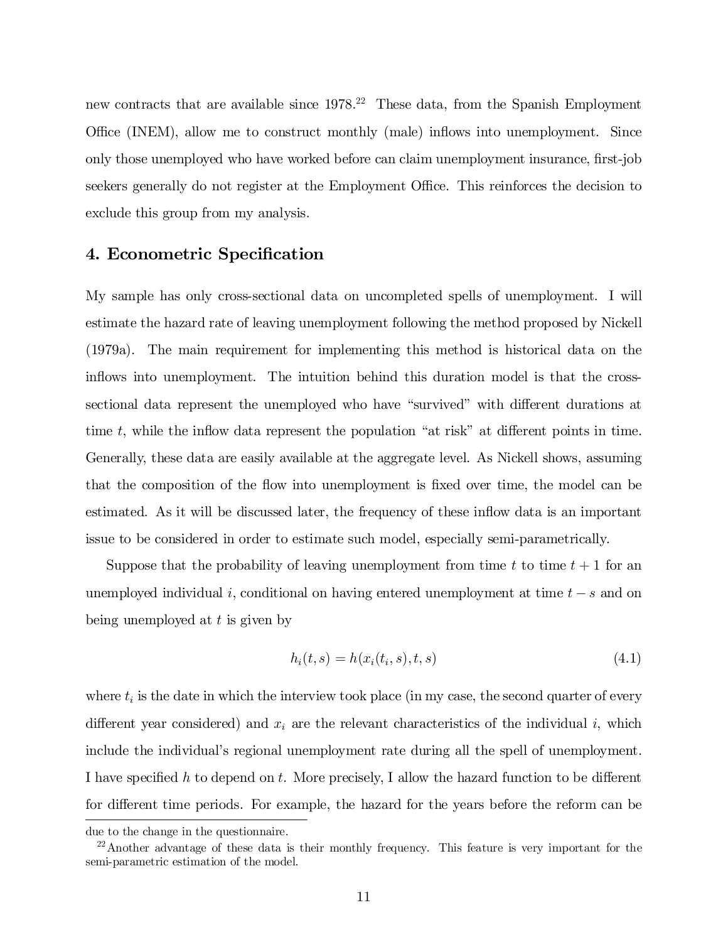new contracts that are available since 1978. <sup>22</sup> These data, from the Spanish Employment Office (INEM), allow me to construct monthly (male) inflows into unemployment. Since only those unemployed who have worked before can claim unemployment insurance, first-job seekers generally do not register at the Employment Office. This reinforces the decision to exclude this group from my analysis.

#### 4. Econometric Specification

My sample has only cross-sectional data on uncompleted spells of unemployment. I will estimate the hazard rate of leaving unemployment following the method proposed by Nickell (1979a). The main requirement for implementing this method is historical data on the inflows into unemployment. The intuition behind this duration model is that the crosssectional data represent the unemployed who have "survived" with different durations at time  $t$ , while the inflow data represent the population "at risk" at different points in time. Generally, these data are easily available at the aggregate level. As Nickell shows, assuming that the composition of the flow into unemployment is fixed over time, the model can be estimated. As it will be discussed later, the frequency of these in‡ow data is an important issue to be considered in order to estimate such model, especially semi-parametrically.

Suppose that the probability of leaving unemployment from time t to time  $t + 1$  for an unemployed individual i, conditional on having entered unemployment at time  $t - s$  and on being unemployed at  $t$  is given by

$$
h_i(t,s) = h(x_i(t_i,s),t,s)
$$
\n(4.1)

where  $t_i$  is the date in which the interview took place (in my case, the second quarter of every different year considered) and  $x_i$  are the relevant characteristics of the individual i, which include the individual's regional unemployment rate during all the spell of unemployment. I have specified h to depend on t. More precisely, I allow the hazard function to be different for different time periods. For example, the hazard for the years before the reform can be

due to the change in the questionnaire.

 $22$ Another advantage of these data is their monthly frequency. This feature is very important for the semi-parametric estimation of the model.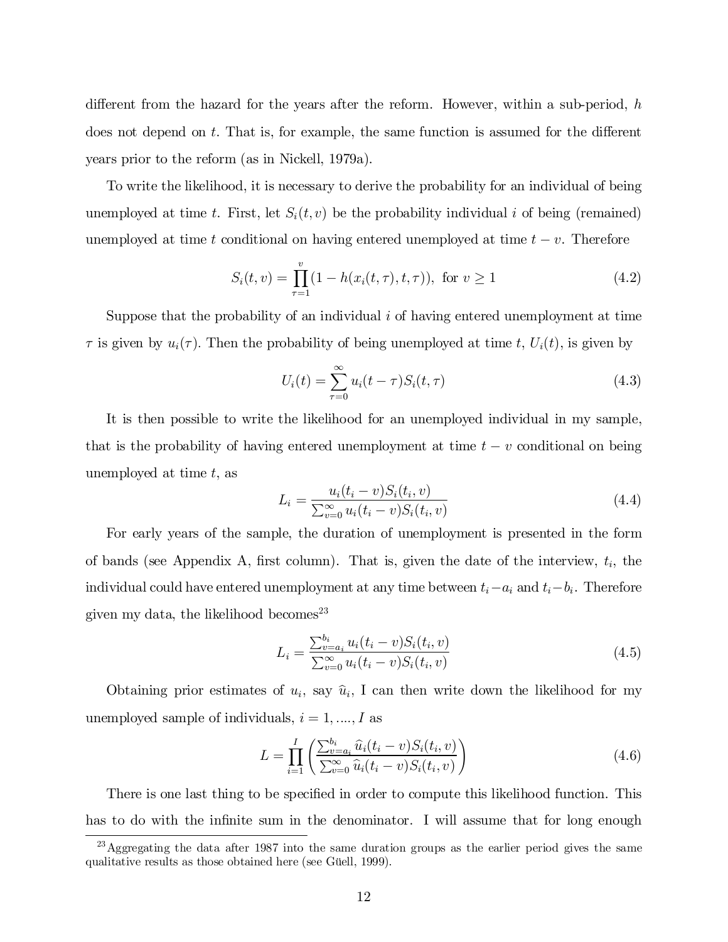different from the hazard for the years after the reform. However, within a sub-period,  $h$ does not depend on  $t$ . That is, for example, the same function is assumed for the different years prior to the reform (as in Nickell, 1979a).

To write the likelihood, it is necessary to derive the probability for an individual of being unemployed at time t. First, let  $S_i(t, v)$  be the probability individual i of being (remained) unemployed at time t conditional on having entered unemployed at time  $t - v$ . Therefore

$$
S_i(t, v) = \prod_{\tau=1}^v (1 - h(x_i(t, \tau), t, \tau)), \text{ for } v \ge 1
$$
 (4.2)

Suppose that the probability of an individual  $i$  of having entered unemployment at time  $\tau$  is given by  $u_i(\tau)$ . Then the probability of being unemployed at time t,  $U_i(t)$ , is given by

$$
U_i(t) = \sum_{\tau=0}^{\infty} u_i(t-\tau) S_i(t,\tau)
$$
\n(4.3)

It is then possible to write the likelihood for an unemployed individual in my sample, that is the probability of having entered unemployment at time  $t - v$  conditional on being unemployed at time  $t$ , as

$$
L_i = \frac{u_i(t_i - v)S_i(t_i, v)}{\sum_{v=0}^{\infty} u_i(t_i - v)S_i(t_i, v)}
$$
(4.4)

For early years of the sample, the duration of unemployment is presented in the form of bands (see Appendix A, first column). That is, given the date of the interview,  $t_i$ , the individual could have entered unemployment at any time between  $t_i - a_i$  and  $t_i - b_i$ . Therefore given my data, the likelihood becomes 23

$$
L_i = \frac{\sum_{v=a_i}^{b_i} u_i(t_i - v) S_i(t_i, v)}{\sum_{v=0}^{\infty} u_i(t_i - v) S_i(t_i, v)}
$$
(4.5)

Obtaining prior estimates of  $u_i$ , say  $\hat{u}_i$ , I can then write down the likelihood for my unemployed sample of individuals,  $i = 1, ..., I$  as

$$
L = \prod_{i=1}^{I} \left( \frac{\sum_{v=a_i}^{b_i} \hat{u}_i(t_i - v) S_i(t_i, v)}{\sum_{v=0}^{\infty} \hat{u}_i(t_i - v) S_i(t_i, v)} \right)
$$
(4.6)

There is one last thing to be specified in order to compute this likelihood function. This has to do with the infinite sum in the denominator. I will assume that for long enough

 $^{23}$  Aggregating the data after 1987 into the same duration groups as the earlier period gives the same qualitative results as those obtained here (see Güell, 1999).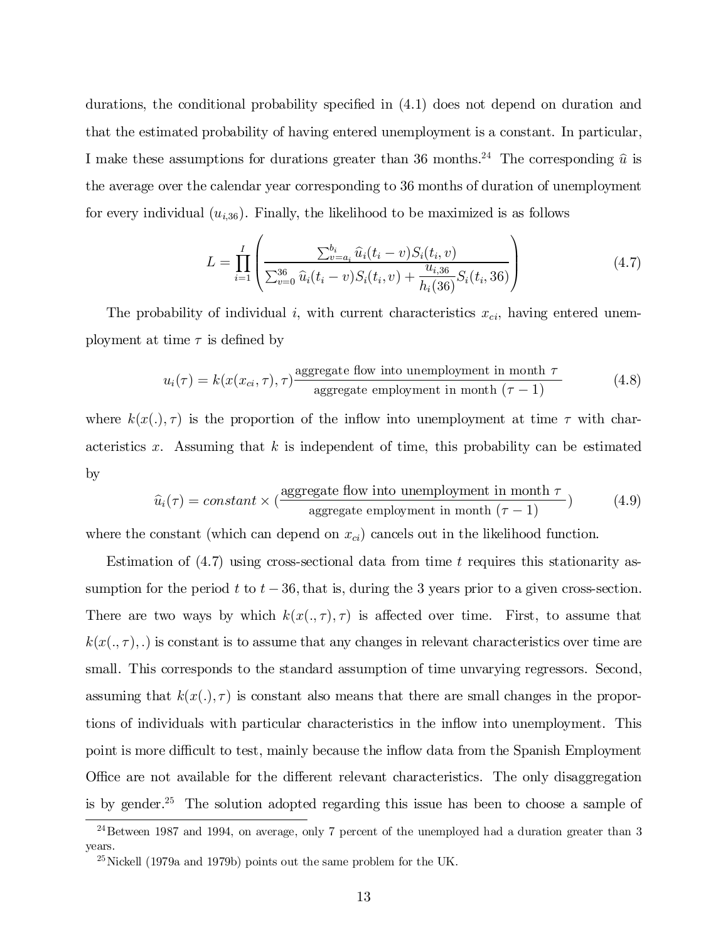durations, the conditional probability specified in  $(4.1)$  does not depend on duration and that the estimated probability of having entered unemployment is a constant. In particular, I make these assumptions for durations greater than 36 months.<sup>24</sup> The corresponding  $\hat{u}$  is the average over the calendar year corresponding to 36 months of duration of unemployment for every individual  $(u_{i,36})$ . Finally, the likelihood to be maximized is as follows

$$
L = \prod_{i=1}^{I} \left( \frac{\sum_{v=a_i}^{b_i} \hat{u}_i(t_i - v) S_i(t_i, v)}{\sum_{v=0}^{36} \hat{u}_i(t_i - v) S_i(t_i, v) + \frac{u_{i,36}}{h_i(36)} S_i(t_i, 36)} \right)
$$
(4.7)

The probability of individual i, with current characteristics  $x_{ci}$ , having entered unemployment at time  $\tau$  is defined by

$$
u_i(\tau) = k(x(x_{ci}, \tau), \tau) \frac{\text{aggregate flow into un employment in month } \tau}{\text{aggregate employment in month } (\tau - 1)}
$$
(4.8)

where  $k(x(.) , \tau)$  is the proportion of the inflow into unemployment at time  $\tau$  with characteristics x. Assuming that  $k$  is independent of time, this probability can be estimated by

$$
\hat{u}_i(\tau) = constant \times (\frac{\text{aggregate flow into un employment in month } \tau}{\text{aggregate employment in month } (\tau - 1)}
$$
\n(4.9)

where the constant (which can depend on  $x_{ci}$ ) cancels out in the likelihood function.

Estimation of  $(4.7)$  using cross-sectional data from time t requires this stationarity assumption for the period t to  $t - 36$ , that is, during the 3 years prior to a given cross-section. There are two ways by which  $k(x(.,\tau),\tau)$  is affected over time. First, to assume that  $k(x(.,\tau),.)$  is constant is to assume that any changes in relevant characteristics over time are small. This corresponds to the standard assumption of time unvarying regressors. Second, assuming that  $k(x(.),\tau)$  is constant also means that there are small changes in the proportions of individuals with particular characteristics in the in‡ow into unemployment. This point is more difficult to test, mainly because the inflow data from the Spanish Employment Office are not available for the different relevant characteristics. The only disaggregation is by gender. <sup>25</sup> The solution adopted regarding this issue has been to choose a sample of

 $^{24}$ Between 1987 and 1994, on average, only 7 percent of the unemployed had a duration greater than 3 years.

 $^{25}$ Nickell (1979a and 1979b) points out the same problem for the UK.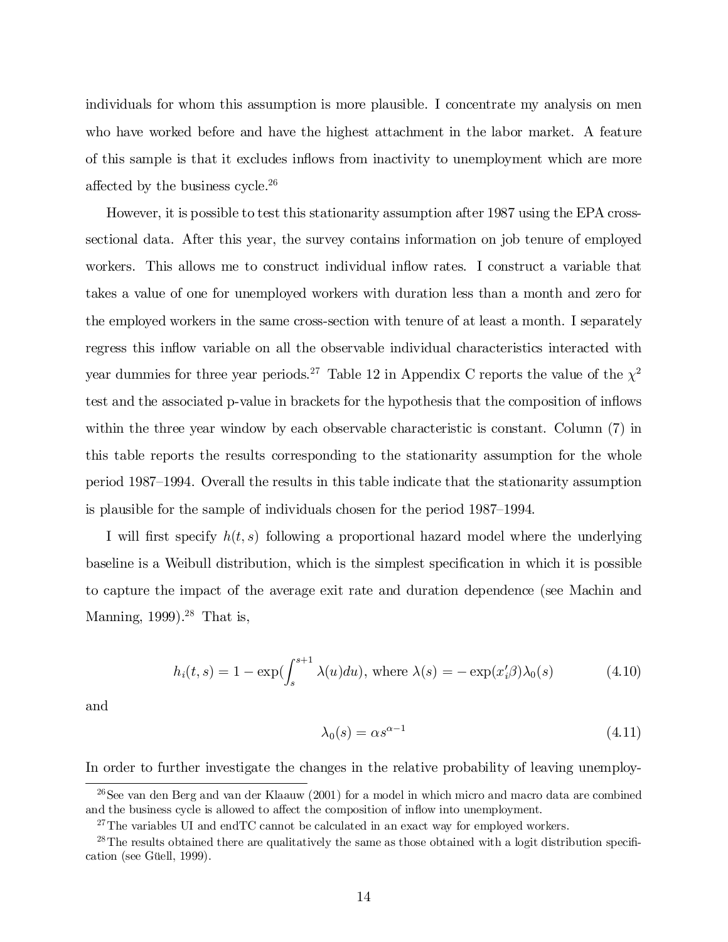individuals for whom this assumption is more plausible. I concentrate my analysis on men who have worked before and have the highest attachment in the labor market. A feature of this sample is that it excludes in‡ows from inactivity to unemployment which are more affected by the business cycle.<sup>26</sup>

However, it is possible to test this stationarity assumption after 1987 using the EPA crosssectional data. After this year, the survey contains information on job tenure of employed workers. This allows me to construct individual inflow rates. I construct a variable that takes a value of one for unemployed workers with duration less than a month and zero for the employed workers in the same cross-section with tenure of at least a month. I separately regress this inflow variable on all the observable individual characteristics interacted with year dummies for three year periods.<sup>27</sup> Table 12 in Appendix C reports the value of the  $\chi^2$ test and the associated p-value in brackets for the hypothesis that the composition of in‡ows within the three year window by each observable characteristic is constant. Column (7) in this table reports the results corresponding to the stationarity assumption for the whole period 1987–1994. Overall the results in this table indicate that the stationarity assumption is plausible for the sample of individuals chosen for the period 1987–1994.

I will first specify  $h(t, s)$  following a proportional hazard model where the underlying baseline is a Weibull distribution, which is the simplest specification in which it is possible to capture the impact of the average exit rate and duration dependence (see Machin and Manning, 1999). <sup>28</sup> That is,

$$
h_i(t,s) = 1 - \exp(\int_s^{s+1} \lambda(u) du), \text{ where } \lambda(s) = -\exp(x_i'\beta)\lambda_0(s) \tag{4.10}
$$

and

$$
\lambda_0(s) = \alpha s^{\alpha - 1} \tag{4.11}
$$

In order to further investigate the changes in the relative probability of leaving unemploy-

<sup>&</sup>lt;sup>26</sup>See van den Berg and van der Klaauw (2001) for a model in which micro and macro data are combined and the business cycle is allowed to affect the composition of inflow into unemployment.

 $27$ The variables UI and endTC cannot be calculated in an exact way for employed workers.

 $28$ The results obtained there are qualitatively the same as those obtained with a logit distribution specification (see Güell, 1999).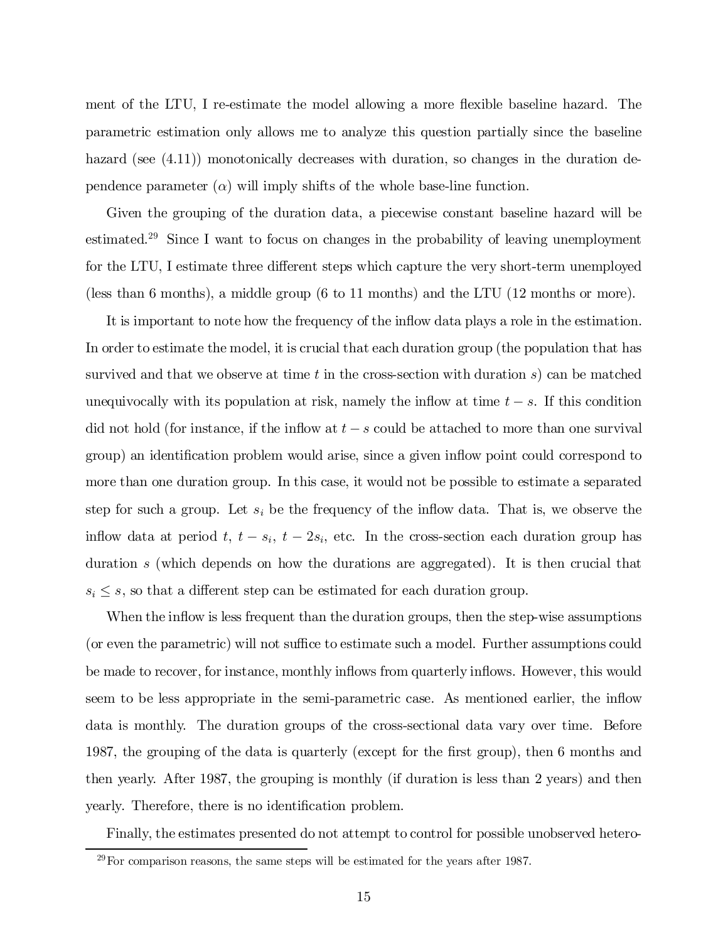ment of the LTU, I re-estimate the model allowing a more flexible baseline hazard. The parametric estimation only allows me to analyze this question partially since the baseline hazard (see  $(4.11)$ ) monotonically decreases with duration, so changes in the duration dependence parameter  $(\alpha)$  will imply shifts of the whole base-line function.

Given the grouping of the duration data, a piecewise constant baseline hazard will be estimated. <sup>29</sup> Since I want to focus on changes in the probability of leaving unemployment for the LTU, I estimate three different steps which capture the very short-term unemployed (less than 6 months), a middle group (6 to 11 months) and the LTU (12 months or more).

It is important to note how the frequency of the in‡ow data plays a role in the estimation. In order to estimate the model, it is crucial that each duration group (the population that has survived and that we observe at time t in the cross-section with duration  $s$ ) can be matched unequivocally with its population at risk, namely the inflow at time  $t - s$ . If this condition did not hold (for instance, if the inflow at  $t - s$  could be attached to more than one survival group) an identification problem would arise, since a given inflow point could correspond to more than one duration group. In this case, it would not be possible to estimate a separated step for such a group. Let  $s_i$  be the frequency of the inflow data. That is, we observe the inflow data at period  $t, t - s_i, t - 2s_i$ , etc. In the cross-section each duration group has duration s (which depends on how the durations are aggregated). It is then crucial that  $s_i \leq s$ , so that a different step can be estimated for each duration group.

When the inflow is less frequent than the duration groups, then the step-wise assumptions (or even the parametric) will not suffice to estimate such a model. Further assumptions could be made to recover, for instance, monthly in‡ows from quarterly in‡ows. However, this would seem to be less appropriate in the semi-parametric case. As mentioned earlier, the inflow data is monthly. The duration groups of the cross-sectional data vary over time. Before 1987, the grouping of the data is quarterly (except for the first group), then 6 months and then yearly. After 1987, the grouping is monthly (if duration is less than 2 years) and then yearly. Therefore, there is no identification problem.

Finally, the estimates presented do not attempt to control for possible unobserved hetero-

 $29$  For comparison reasons, the same steps will be estimated for the years after 1987.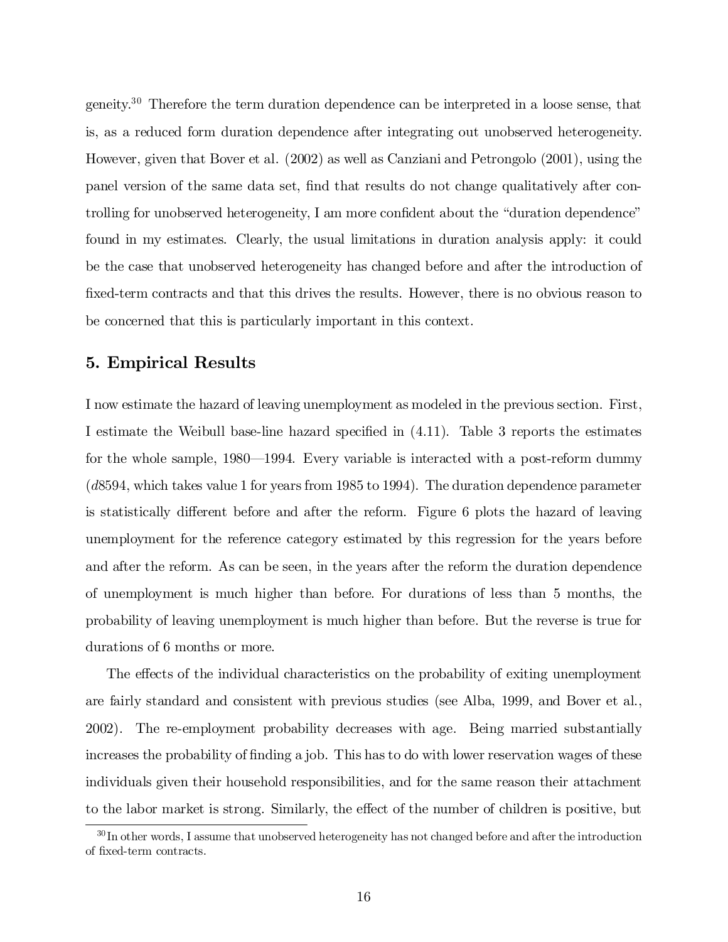geneity. <sup>30</sup> Therefore the term duration dependence can be interpreted in a loose sense, that is, as a reduced form duration dependence after integrating out unobserved heterogeneity. However, given that Bover et al. (2002) as well as Canziani and Petrongolo (2001), using the panel version of the same data set, find that results do not change qualitatively after controlling for unobserved heterogeneity, I am more confident about the "duration dependence" found in my estimates. Clearly, the usual limitations in duration analysis apply: it could be the case that unobserved heterogeneity has changed before and after the introduction of fixed-term contracts and that this drives the results. However, there is no obvious reason to be concerned that this is particularly important in this context.

#### 5. Empirical Results

I now estimate the hazard of leaving unemployment as modeled in the previous section. First, I estimate the Weibull base-line hazard specified in  $(4.11)$ . Table 3 reports the estimates for the whole sample, 1980—1994. Every variable is interacted with a post-reform dummy (d8594, which takes value 1 for years from 1985 to 1994). The duration dependence parameter is statistically different before and after the reform. Figure 6 plots the hazard of leaving unemployment for the reference category estimated by this regression for the years before and after the reform. As can be seen, in the years after the reform the duration dependence of unemployment is much higher than before. For durations of less than 5 months, the probability of leaving unemployment is much higher than before. But the reverse is true for durations of 6 months or more.

The effects of the individual characteristics on the probability of exiting unemployment are fairly standard and consistent with previous studies (see Alba, 1999, and Bover et al., 2002). The re-employment probability decreases with age. Being married substantially increases the probability of finding a job. This has to do with lower reservation wages of these individuals given their household responsibilities, and for the same reason their attachment to the labor market is strong. Similarly, the effect of the number of children is positive, but

 $^{30}$ In other words, I assume that unobserved heterogeneity has not changed before and after the introduction of fixed-term contracts.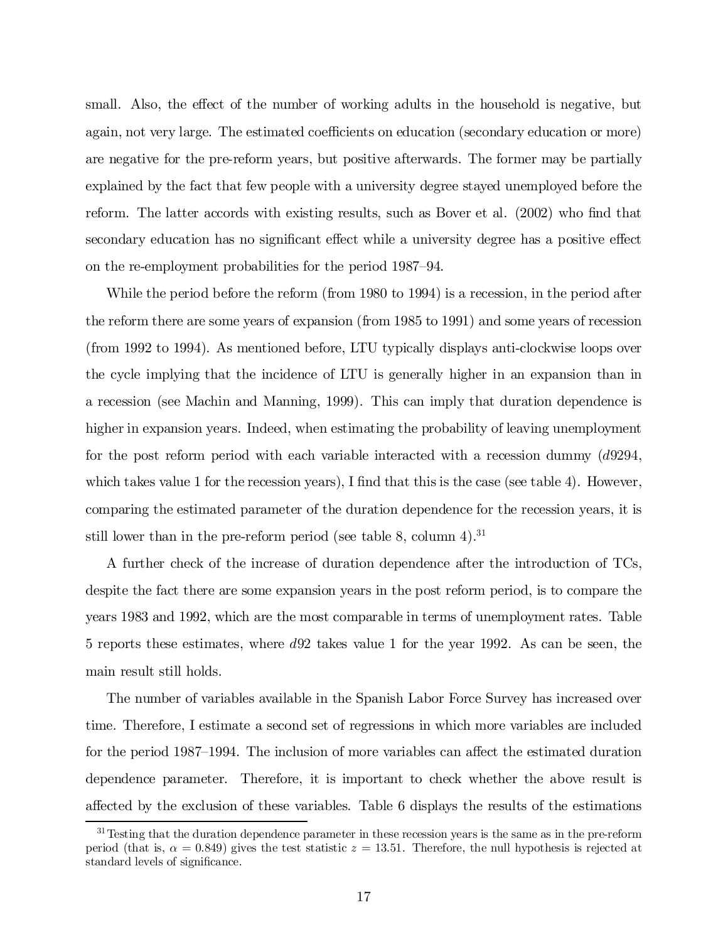small. Also, the effect of the number of working adults in the household is negative, but again, not very large. The estimated coefficients on education (secondary education or more) are negative for the pre-reform years, but positive afterwards. The former may be partially explained by the fact that few people with a university degree stayed unemployed before the reform. The latter accords with existing results, such as Bover et al.  $(2002)$  who find that secondary education has no significant effect while a university degree has a positive effect on the re-employment probabilities for the period 1987–94.

While the period before the reform (from 1980 to 1994) is a recession, in the period after the reform there are some years of expansion (from 1985 to 1991) and some years of recession (from 1992 to 1994). As mentioned before, LTU typically displays anti-clockwise loops over the cycle implying that the incidence of LTU is generally higher in an expansion than in a recession (see Machin and Manning, 1999). This can imply that duration dependence is higher in expansion years. Indeed, when estimating the probability of leaving unemployment for the post reform period with each variable interacted with a recession dummy  $(d9294,$ which takes value 1 for the recession years), I find that this is the case (see table 4). However, comparing the estimated parameter of the duration dependence for the recession years, it is still lower than in the pre-reform period (see table 8, column 4).<sup>31</sup>

A further check of the increase of duration dependence after the introduction of TCs, despite the fact there are some expansion years in the post reform period, is to compare the years 1983 and 1992, which are the most comparable in terms of unemployment rates. Table 5 reports these estimates, where d92 takes value 1 for the year 1992. As can be seen, the main result still holds.

The number of variables available in the Spanish Labor Force Survey has increased over time. Therefore, I estimate a second set of regressions in which more variables are included for the period 1987–1994. The inclusion of more variables can affect the estimated duration dependence parameter. Therefore, it is important to check whether the above result is affected by the exclusion of these variables. Table 6 displays the results of the estimations

<sup>&</sup>lt;sup>31</sup> Testing that the duration dependence parameter in these recession years is the same as in the pre-reform period (that is,  $\alpha = 0.849$ ) gives the test statistic  $z = 13.51$ . Therefore, the null hypothesis is rejected at standard levels of significance.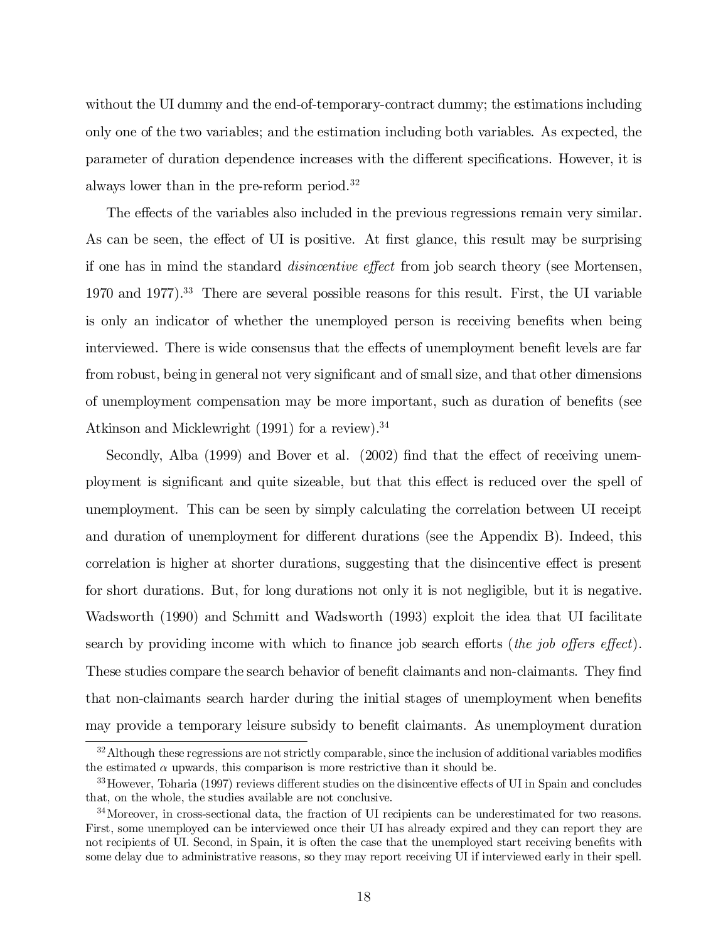without the UI dummy and the end-of-temporary-contract dummy; the estimations including only one of the two variables; and the estimation including both variables. As expected, the parameter of duration dependence increases with the different specifications. However, it is always lower than in the pre-reform period. 32

The effects of the variables also included in the previous regressions remain very similar. As can be seen, the effect of UI is positive. At first glance, this result may be surprising if one has in mind the standard *disincentive effect* from job search theory (see Mortensen, 1970 and 1977). <sup>33</sup> There are several possible reasons for this result. First, the UI variable is only an indicator of whether the unemployed person is receiving benefits when being interviewed. There is wide consensus that the effects of unemployment benefit levels are far from robust, being in general not very significant and of small size, and that other dimensions of unemployment compensation may be more important, such as duration of benefits (see Atkinson and Micklewright (1991) for a review). 34

Secondly, Alba  $(1999)$  and Bover et al.  $(2002)$  find that the effect of receiving unemployment is significant and quite sizeable, but that this effect is reduced over the spell of unemployment. This can be seen by simply calculating the correlation between UI receipt and duration of unemployment for different durations (see the Appendix B). Indeed, this correlation is higher at shorter durations, suggesting that the disincentive effect is present for short durations. But, for long durations not only it is not negligible, but it is negative. Wadsworth (1990) and Schmitt and Wadsworth (1993) exploit the idea that UI facilitate search by providing income with which to finance job search efforts (the job offers effect). These studies compare the search behavior of benefit claimants and non-claimants. They find that non-claimants search harder during the initial stages of unemployment when benefits may provide a temporary leisure subsidy to benefit claimants. As unemployment duration

 $32$  Although these regressions are not strictly comparable, since the inclusion of additional variables modifies the estimated  $\alpha$  upwards, this comparison is more restrictive than it should be.

<sup>&</sup>lt;sup>33</sup> However, Toharia (1997) reviews different studies on the disincentive effects of UI in Spain and concludes that, on the whole, the studies available are not conclusive.

<sup>&</sup>lt;sup>34</sup>Moreover, in cross-sectional data, the fraction of UI recipients can be underestimated for two reasons. First, some unemployed can be interviewed once their UI has already expired and they can report they are not recipients of UI. Second, in Spain, it is often the case that the unemployed start receiving benefits with some delay due to administrative reasons, so they may report receiving UI if interviewed early in their spell.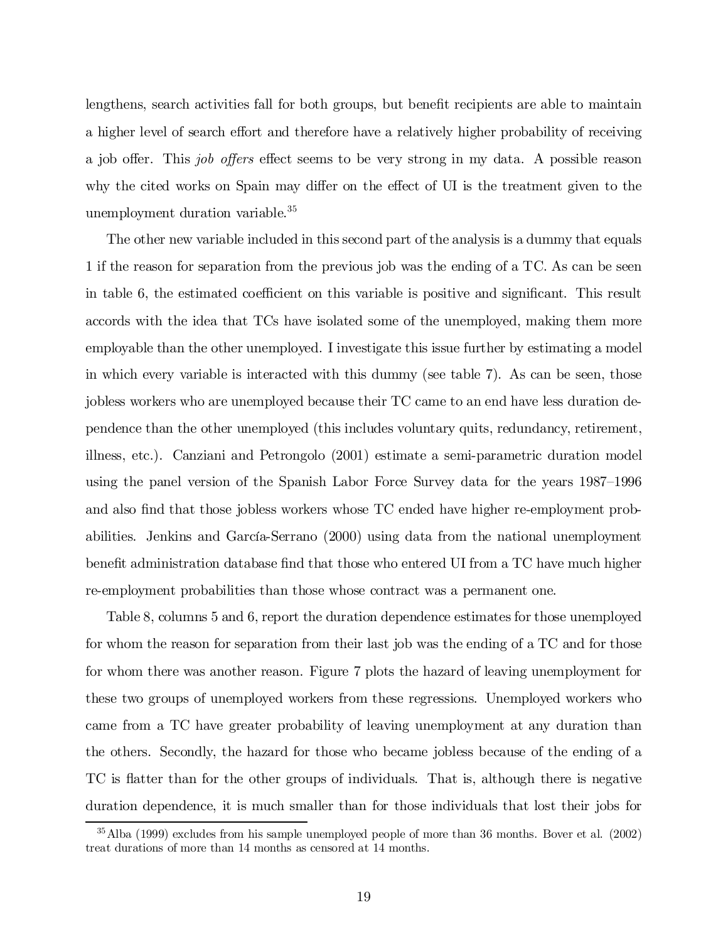lengthens, search activities fall for both groups, but benefit recipients are able to maintain a higher level of search effort and therefore have a relatively higher probability of receiving a job offer. This *job offers* effect seems to be very strong in my data. A possible reason why the cited works on Spain may differ on the effect of UI is the treatment given to the unemployment duration variable. 35

The other new variable included in this second part of the analysis is a dummy that equals 1 if the reason for separation from the previous job was the ending of a TC. As can be seen in table 6, the estimated coefficient on this variable is positive and significant. This result accords with the idea that TCs have isolated some of the unemployed, making them more employable than the other unemployed. I investigate this issue further by estimating a model in which every variable is interacted with this dummy (see table 7). As can be seen, those jobless workers who are unemployed because their TC came to an end have less duration dependence than the other unemployed (this includes voluntary quits, redundancy, retirement, illness, etc.). Canziani and Petrongolo (2001) estimate a semi-parametric duration model using the panel version of the Spanish Labor Force Survey data for the years 1987–1996 and also find that those jobless workers whose TC ended have higher re-employment probabilities. Jenkins and García-Serrano (2000) using data from the national unemployment benefit administration database find that those who entered UI from a TC have much higher re-employment probabilities than those whose contract was a permanent one.

Table 8, columns 5 and 6, report the duration dependence estimates for those unemployed for whom the reason for separation from their last job was the ending of a TC and for those for whom there was another reason. Figure 7 plots the hazard of leaving unemployment for these two groups of unemployed workers from these regressions. Unemployed workers who came from a TC have greater probability of leaving unemployment at any duration than the others. Secondly, the hazard for those who became jobless because of the ending of a TC is flatter than for the other groups of individuals. That is, although there is negative duration dependence, it is much smaller than for those individuals that lost their jobs for

<sup>35</sup>Alba (1999) excludes from his sample unemployed people of more than 36 months. Bover et al. (2002) treat durations of more than 14 months as censored at 14 months.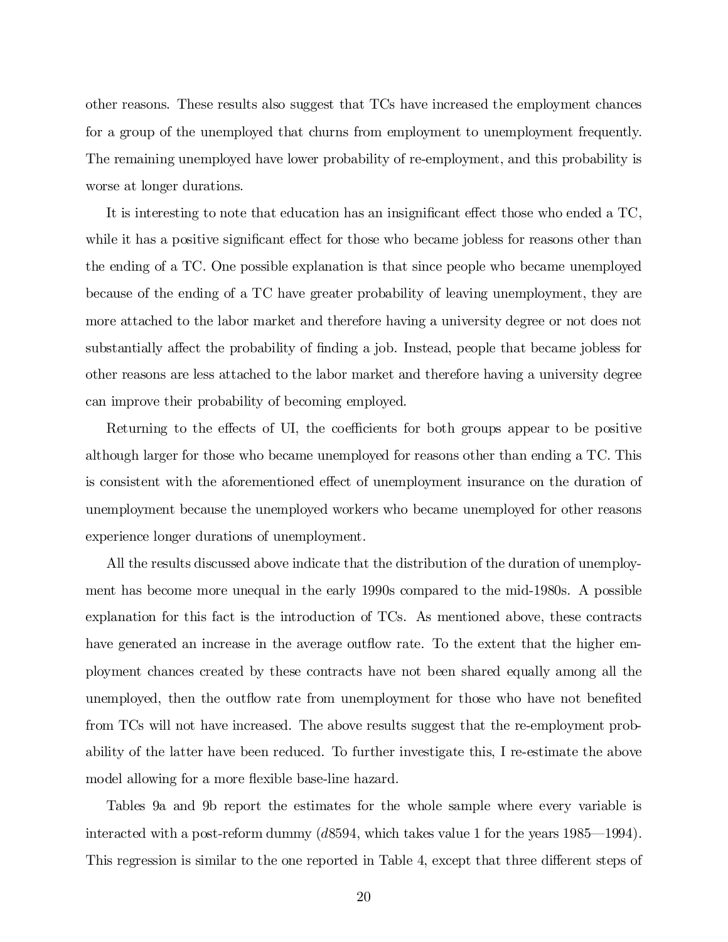other reasons. These results also suggest that TCs have increased the employment chances for a group of the unemployed that churns from employment to unemployment frequently. The remaining unemployed have lower probability of re-employment, and this probability is worse at longer durations.

It is interesting to note that education has an insignificant effect those who ended a TC, while it has a positive significant effect for those who became jobless for reasons other than the ending of a TC. One possible explanation is that since people who became unemployed because of the ending of a TC have greater probability of leaving unemployment, they are more attached to the labor market and therefore having a university degree or not does not substantially affect the probability of finding a job. Instead, people that became jobless for other reasons are less attached to the labor market and therefore having a university degree can improve their probability of becoming employed.

Returning to the effects of UI, the coefficients for both groups appear to be positive although larger for those who became unemployed for reasons other than ending a TC. This is consistent with the aforementioned effect of unemployment insurance on the duration of unemployment because the unemployed workers who became unemployed for other reasons experience longer durations of unemployment.

All the results discussed above indicate that the distribution of the duration of unemployment has become more unequal in the early 1990s compared to the mid-1980s. A possible explanation for this fact is the introduction of TCs. As mentioned above, these contracts have generated an increase in the average outflow rate. To the extent that the higher employment chances created by these contracts have not been shared equally among all the unemployed, then the outflow rate from unemployment for those who have not benefited from TCs will not have increased. The above results suggest that the re-employment probability of the latter have been reduced. To further investigate this, I re-estimate the above model allowing for a more flexible base-line hazard.

Tables 9a and 9b report the estimates for the whole sample where every variable is interacted with a post-reform dummy (d8594, which takes value 1 for the years 1985—1994). This regression is similar to the one reported in Table 4, except that three different steps of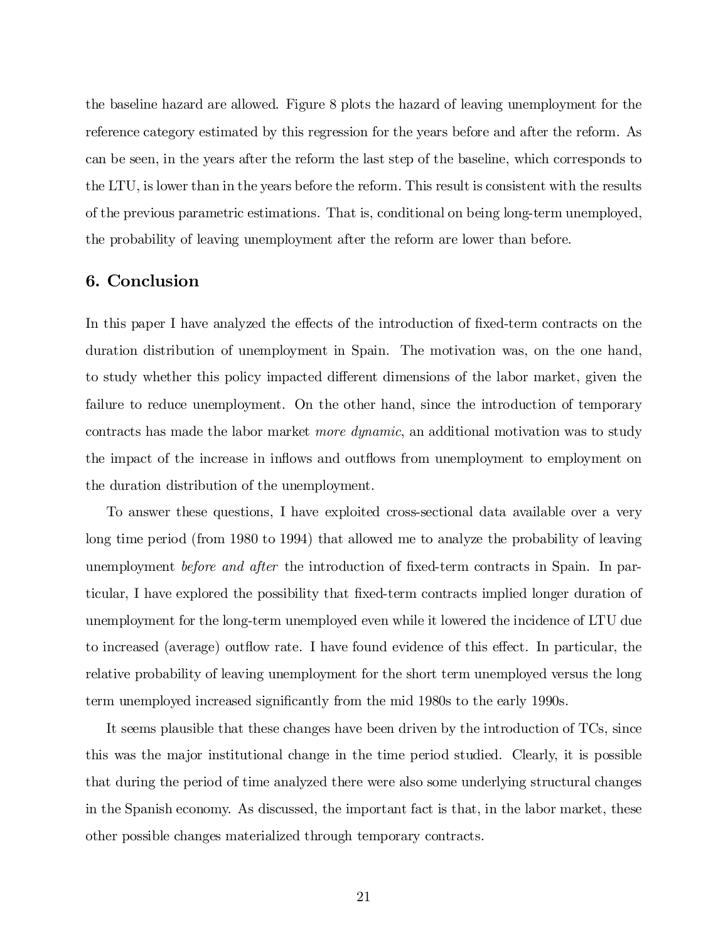the baseline hazard are allowed. Figure 8 plots the hazard of leaving unemployment for the reference category estimated by this regression for the years before and after the reform. As can be seen, in the years after the reform the last step of the baseline, which corresponds to the LTU, is lower than in the years before the reform. This result is consistent with the results of the previous parametric estimations. That is, conditional on being long-term unemployed, the probability of leaving unemployment after the reform are lower than before.

#### 6. Conclusion

In this paper I have analyzed the effects of the introduction of fixed-term contracts on the duration distribution of unemployment in Spain. The motivation was, on the one hand, to study whether this policy impacted different dimensions of the labor market, given the failure to reduce unemployment. On the other hand, since the introduction of temporary contracts has made the labor market more dynamic, an additional motivation was to study the impact of the increase in inflows and outflows from unemployment to employment on the duration distribution of the unemployment.

To answer these questions, I have exploited cross-sectional data available over a very long time period (from 1980 to 1994) that allowed me to analyze the probability of leaving unemployment *before and after* the introduction of fixed-term contracts in Spain. In particular, I have explored the possibility that fixed-term contracts implied longer duration of unemployment for the long-term unemployed even while it lowered the incidence of LTU due to increased (average) outflow rate. I have found evidence of this effect. In particular, the relative probability of leaving unemployment for the short term unemployed versus the long term unemployed increased significantly from the mid 1980s to the early 1990s.

It seems plausible that these changes have been driven by the introduction of TCs, since this was the major institutional change in the time period studied. Clearly, it is possible that during the period of time analyzed there were also some underlying structural changes in the Spanish economy. As discussed, the important fact is that, in the labor market, these other possible changes materialized through temporary contracts.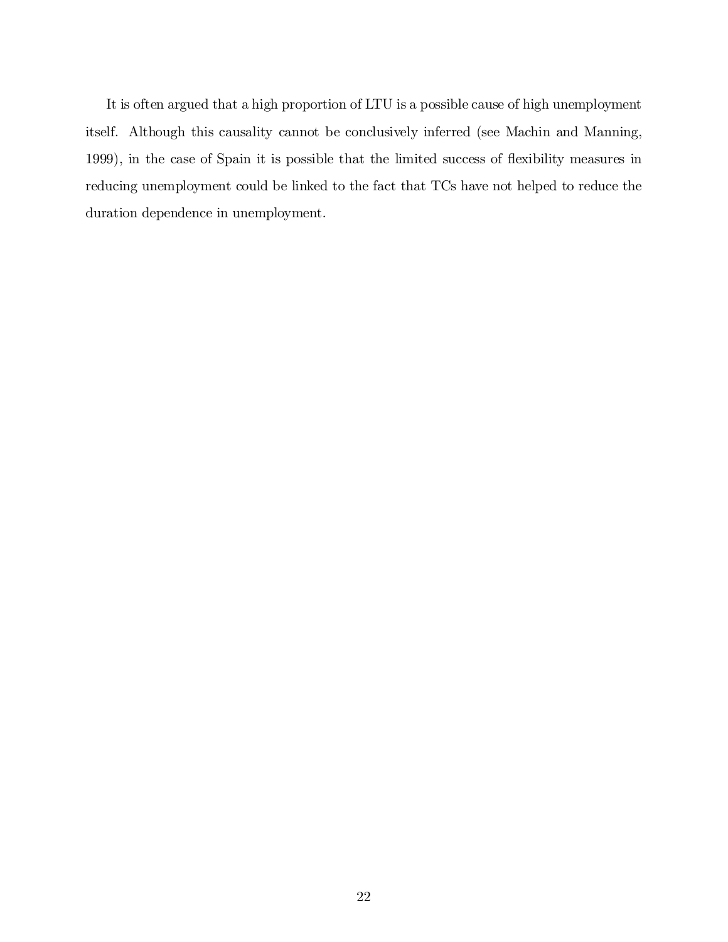It is often argued that a high proportion of LTU is a possible cause of high unemployment itself. Although this causality cannot be conclusively inferred (see Machin and Manning, 1999), in the case of Spain it is possible that the limited success of flexibility measures in reducing unemployment could be linked to the fact that TCs have not helped to reduce the duration dependence in unemployment.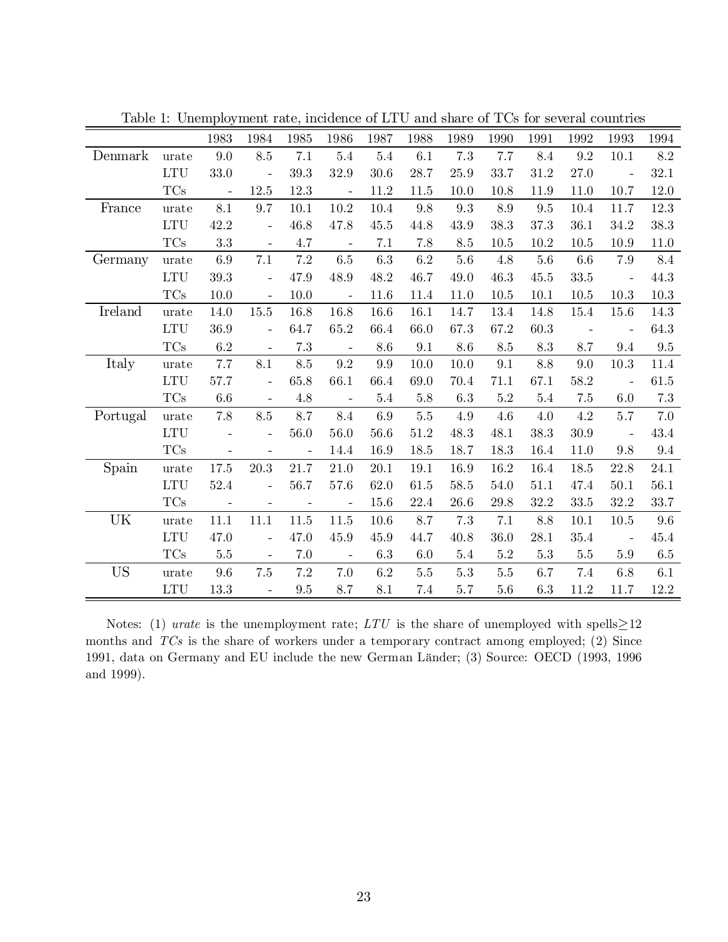|           |            | 1983                     | 1984                     | 1985                     | 1986                     | 1987     | 1988    | 1989    | 1990            | 1991     | 1992                     | 1993                     | 1994       |
|-----------|------------|--------------------------|--------------------------|--------------------------|--------------------------|----------|---------|---------|-----------------|----------|--------------------------|--------------------------|------------|
| Denmark   | urate      | 9.0                      | 8.5                      | 7.1                      | 5.4                      | 5.4      | 6.1     | 7.3     | 7.7             | 8.4      | 9.2                      | 10.1                     | 8.2        |
|           | <b>LTU</b> | 33.0                     | $\overline{\phantom{a}}$ | 39.3                     | 32.9                     | 30.6     | 28.7    | 25.9    | 33.7            | 31.2     | 27.0                     | $\overline{a}$           | 32.1       |
|           | $\rm TCs$  | $\blacksquare$           | 12.5                     | 12.3                     | $\overline{\phantom{a}}$ | 11.2     | 11.5    | 10.0    | 10.8            | 11.9     | 11.0                     | 10.7                     | 12.0       |
| France    | urate      | 8.1                      | 9.7                      | 10.1                     | $10.2\,$                 | $10.4\,$ | 9.8     | 9.3     | $\!\!\!\!\!8.9$ | 9.5      | 10.4                     | 11.7                     | 12.3       |
|           | <b>LTU</b> | 42.2                     | $\overline{\phantom{a}}$ | 46.8                     | 47.8                     | 45.5     | 44.8    | 43.9    | 38.3            | 37.3     | 36.1                     | 34.2                     | 38.3       |
|           | $\rm TCs$  | 3.3                      | $\overline{\phantom{a}}$ | 4.7                      | $\mathcal{L}$            | 7.1      | 7.8     | 8.5     | 10.5            | 10.2     | 10.5                     | 10.9                     | $11.0\,$   |
| Germany   | urate      | 6.9                      | 7.1                      | $7.2\,$                  | 6.5                      | 6.3      | 6.2     | $5.6\,$ | 4.8             | 5.6      | 6.6                      | 7.9                      | 8.4        |
|           | <b>LTU</b> | 39.3                     | $\overline{\phantom{0}}$ | 47.9                     | 48.9                     | 48.2     | 46.7    | 49.0    | 46.3            | 45.5     | 33.5                     | $\frac{1}{2}$            | 44.3       |
|           | $\rm TCs$  | 10.0                     | $\overline{a}$           | 10.0                     | $\overline{\phantom{a}}$ | 11.6     | 11.4    | 11.0    | 10.5            | 10.1     | 10.5                     | 10.3                     | $10.3\,$   |
| Ireland   | urate      | 14.0                     | $15.5\,$                 | 16.8                     | 16.8                     | 16.6     | 16.1    | 14.7    | 13.4            | 14.8     | 15.4                     | 15.6                     | 14.3       |
|           | LTU        | 36.9                     | $\frac{1}{2}$            | 64.7                     | 65.2                     | 66.4     | 66.0    | 67.3    | 67.2            | 60.3     | $\overline{\phantom{m}}$ | $\overline{\phantom{0}}$ | 64.3       |
|           | $\rm TCs$  | 6.2                      | $\frac{1}{2}$            | 7.3                      | $\overline{\phantom{a}}$ | 8.6      | 9.1     | 8.6     | 8.5             | 8.3      | 8.7                      | 9.4                      | $\ \, 9.5$ |
| Italy     | urate      | 7.7                      | 8.1                      | 8.5                      | 9.2                      | 9.9      | 10.0    | 10.0    | 9.1             | 8.8      | 9.0                      | 10.3                     | 11.4       |
|           | <b>LTU</b> | 57.7                     | $\overline{\phantom{0}}$ | 65.8                     | 66.1                     | 66.4     | 69.0    | 70.4    | 71.1            | 67.1     | 58.2                     | $\overline{\phantom{a}}$ | 61.5       |
|           | $\rm TCs$  | 6.6                      | $\frac{1}{2}$            | 4.8                      | $\overline{\phantom{a}}$ | $5.4\,$  | 5.8     | 6.3     | $5.2\,$         | $5.4\,$  | 7.5                      | 6.0                      | 7.3        |
| Portugal  | urate      | 7.8                      | 8.5                      | 8.7                      | 8.4                      | 6.9      | $5.5\,$ | $4.9\,$ | $4.6\,$         | $4.0\,$  | $4.2\,$                  | $5.7\,$                  | 7.0        |
|           | <b>LTU</b> |                          | $\overline{\phantom{0}}$ | 56.0                     | 56.0                     | 56.6     | 51.2    | 48.3    | 48.1            | 38.3     | 30.9                     | $\qquad \qquad \Box$     | 43.4       |
|           | $\rm TCs$  | $\qquad \qquad -$        | $\overline{\phantom{a}}$ | $\overline{\phantom{a}}$ | 14.4                     | 16.9     | 18.5    | 18.7    | 18.3            | 16.4     | 11.0                     | 9.8                      | $9.4\,$    |
| Spain     | urate      | 17.5                     | 20.3                     | 21.7                     | 21.0                     | 20.1     | 19.1    | 16.9    | 16.2            | 16.4     | 18.5                     | 22.8                     | 24.1       |
|           | <b>LTU</b> | 52.4                     | $\overline{\phantom{a}}$ | 56.7                     | 57.6                     | 62.0     | 61.5    | 58.5    | 54.0            | $51.1\,$ | 47.4                     | $50.1\,$                 | $56.1\,$   |
|           | $\rm TCs$  | $\overline{\phantom{a}}$ | $\overline{\phantom{a}}$ | $\overline{\phantom{a}}$ | $\overline{\phantom{a}}$ | 15.6     | 22.4    | 26.6    | 29.8            | 32.2     | $33.5\,$                 | 32.2                     | 33.7       |
| UK        | urate      | 11.1                     | $11.1\,$                 | 11.5                     | 11.5                     | 10.6     | 8.7     | 7.3     | 7.1             | 8.8      | 10.1                     | 10.5                     | 9.6        |
|           | <b>LTU</b> | 47.0                     | $\overline{\phantom{a}}$ | 47.0                     | 45.9                     | 45.9     | 44.7    | 40.8    | 36.0            | 28.1     | 35.4                     |                          | 45.4       |
|           | $\rm TCs$  | $5.5\,$                  | $\bar{\mathcal{L}}$      | 7.0                      | $\mathcal{L}$            | 6.3      | 6.0     | $5.4\,$ | $5.2\,$         | $5.3\,$  | $5.5\,$                  | $5.9\,$                  | 6.5        |
| <b>US</b> | urate      | 9.6                      | $7.5\,$                  | $7.2\,$                  | 7.0                      | 6.2      | $5.5\,$ | $5.3\,$ | $5.5\,$         | 6.7      | 7.4                      | 6.8                      | 6.1        |
|           | <b>LTU</b> | 13.3                     | $\overline{\phantom{a}}$ | 9.5                      | 8.7                      | 8.1      | 7.4     | 5.7     | $5.6\,$         | 6.3      | 11.2                     | 11.7                     | 12.2       |

Table 1: Unemployment rate, incidence of LTU and share of TCs for several countries

Notes: (1) *urate* is the unemployment rate; LTU is the share of unemployed with spells $\geq$ 12 months and TCs is the share of workers under a temporary contract among employed; (2) Since 1991, data on Germany and EU include the new German Länder; (3) Source: OECD (1993, 1996 and 1999).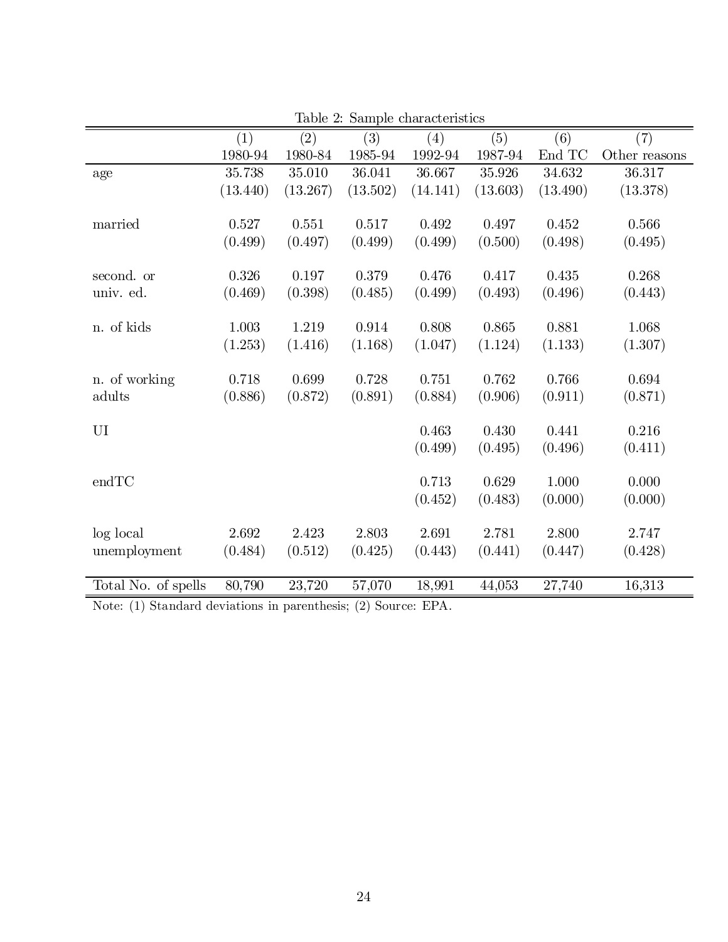|                     |          |          | rapic 2. Dampic characteristics |          |          |          |               |
|---------------------|----------|----------|---------------------------------|----------|----------|----------|---------------|
|                     | (1)      | (2)      | (3)                             | (4)      | (5)      | (6)      | (7)           |
|                     | 1980-94  | 1980-84  | 1985-94                         | 1992-94  | 1987-94  | End TC   | Other reasons |
| age                 | 35.738   | 35.010   | 36.041                          | 36.667   | 35.926   | 34.632   | 36.317        |
|                     | (13.440) | (13.267) | (13.502)                        | (14.141) | (13.603) | (13.490) | (13.378)      |
| married             | 0.527    | 0.551    | 0.517                           | 0.492    | 0.497    | 0.452    | $0.566\,$     |
|                     | (0.499)  | (0.497)  | (0.499)                         | (0.499)  | (0.500)  | (0.498)  | (0.495)       |
| second. or          | 0.326    | 0.197    | 0.379                           | 0.476    | 0.417    | 0.435    | 0.268         |
| univ. ed.           | (0.469)  | (0.398)  | (0.485)                         | (0.499)  | (0.493)  | (0.496)  | (0.443)       |
| n. of kids          | 1.003    | 1.219    | 0.914                           | 0.808    | 0.865    | 0.881    | 1.068         |
|                     | (1.253)  | (1.416)  | (1.168)                         | (1.047)  | (1.124)  | (1.133)  | (1.307)       |
| n. of working       | 0.718    | 0.699    | 0.728                           | 0.751    | 0.762    | 0.766    | 0.694         |
| adults              | (0.886)  | (0.872)  | (0.891)                         | (0.884)  | (0.906)  | (0.911)  | (0.871)       |
| UI                  |          |          |                                 | 0.463    | 0.430    | 0.441    | 0.216         |
|                     |          |          |                                 | (0.499)  | (0.495)  | (0.496)  | (0.411)       |
| endTC               |          |          |                                 | 0.713    | 0.629    | 1.000    | 0.000         |
|                     |          |          |                                 | (0.452)  | (0.483)  | (0.000)  | (0.000)       |
| log local           | 2.692    | 2.423    | 2.803                           | 2.691    | 2.781    | 2.800    | 2.747         |
| unemployment        | (0.484)  | (0.512)  | (0.425)                         | (0.443)  | (0.441)  | (0.447)  | (0.428)       |
| Total No. of spells | 80,790   | 23,720   | 57,070                          | 18,991   | 44,053   | 27,740   | 16,313        |

Table 2: Sample characteristics

Note: (1) Standard deviations in parenthesis; (2) Source: EPA.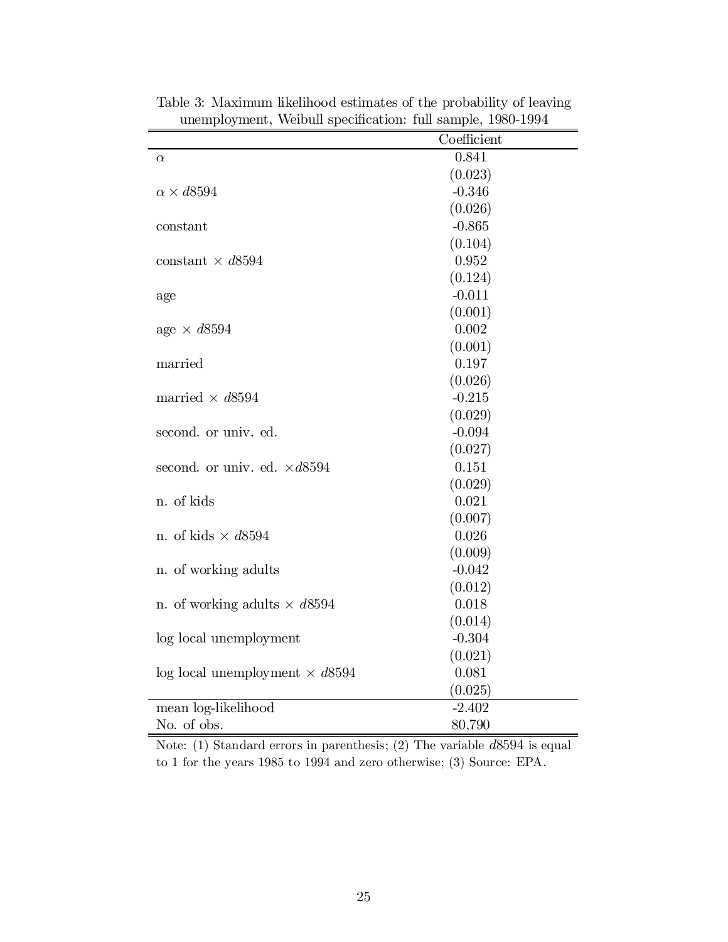|                                         | Coefficient |
|-----------------------------------------|-------------|
| $\alpha$                                | 0.841       |
|                                         | (0.023)     |
| $\alpha \times d8594$                   | $-0.346$    |
|                                         | (0.026)     |
| constant                                | $-0.865$    |
|                                         | (0.104)     |
| constant $\times d8594$                 | 0.952       |
|                                         | (0.124)     |
| age                                     | $-0.011$    |
|                                         | (0.001)     |
| age $\times d8594$                      | 0.002       |
|                                         | (0.001)     |
| married                                 | 0.197       |
|                                         | (0.026)     |
| married $\times d8594$                  | $-0.215$    |
|                                         | (0.029)     |
| second. or univ. ed.                    | $-0.094$    |
|                                         | (0.027)     |
| second. or univ. ed. $\times d8594$     | 0.151       |
|                                         | (0.029)     |
| n. of kids                              | 0.021       |
|                                         | (0.007)     |
| n. of kids $\times d8594$               | 0.026       |
|                                         | (0.009)     |
| n. of working adults                    | $-0.042$    |
|                                         | (0.012)     |
| n. of working adults $\times d8594$     | 0.018       |
|                                         | (0.014)     |
| log local unemployment                  | $-0.304$    |
|                                         | (0.021)     |
| $log local$ unemployment $\times d8594$ | 0.081       |
|                                         | (0.025)     |
| mean log-likelihood                     | $-2.402$    |
| No. of obs.                             | 80,790      |

Table 3: Maximum likelihood estimates of the probability of leaving unemployment, Weibull specification: full sample, 1980-1994

Note: (1) Standard errors in parenthesis; (2) The variable d8594 is equal to 1 for the years 1985 to 1994 and zero otherwise; (3) Source: EPA.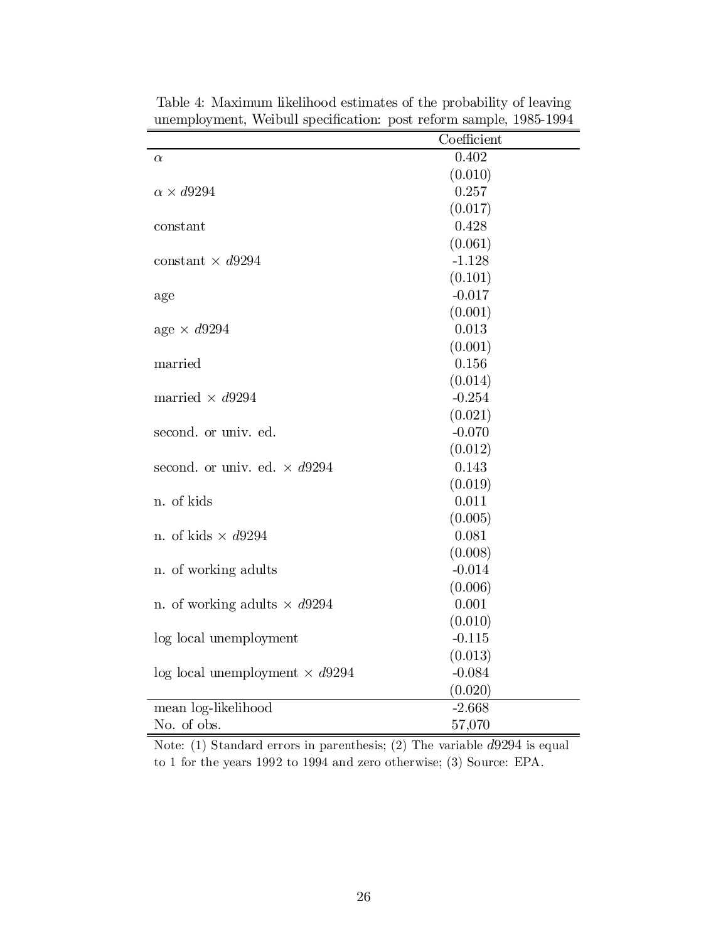|                                         | Coefficient |
|-----------------------------------------|-------------|
| $\alpha$                                | 0.402       |
|                                         | (0.010)     |
| $\alpha \times d9294$                   | 0.257       |
|                                         | (0.017)     |
| constant                                | 0.428       |
|                                         | (0.061)     |
| constant $\times d9294$                 | $-1.128$    |
|                                         | (0.101)     |
| age                                     | $-0.017$    |
|                                         | (0.001)     |
| age $\times d9294$                      | 0.013       |
|                                         | (0.001)     |
| married                                 | 0.156       |
|                                         | (0.014)     |
| married $\times d9294$                  | $-0.254$    |
|                                         | (0.021)     |
| second. or univ. ed.                    | $-0.070$    |
|                                         | (0.012)     |
| second. or univ. ed. $\times d9294$     | 0.143       |
|                                         | (0.019)     |
| n. of kids                              | 0.011       |
|                                         | (0.005)     |
| n. of kids $\times$ d9294               | 0.081       |
|                                         | (0.008)     |
| n. of working adults                    | $-0.014$    |
|                                         | (0.006)     |
| n. of working adults $\times d9294$     | 0.001       |
|                                         | (0.010)     |
| log local unemployment                  | $-0.115$    |
|                                         | (0.013)     |
| $log local$ unemployment $\times d9294$ | $-0.084$    |
|                                         | (0.020)     |
| mean log-likelihood                     | $-2.668$    |
| No. of obs.                             | 57,070      |

Table 4: Maximum likelihood estimates of the probability of leaving unemployment, Weibull specification: post reform sample,  $1985-1994$ 

Note: (1) Standard errors in parenthesis; (2) The variable  $d9294$  is equal to 1 for the years 1992 to 1994 and zero otherwise; (3) Source: EPA.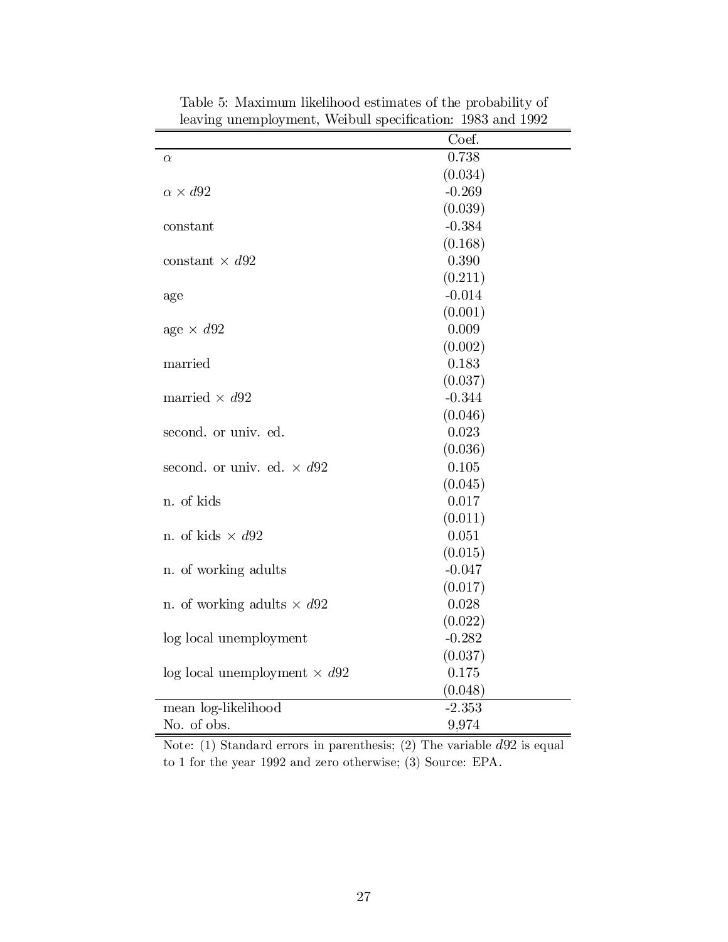|                                     | Coef.    |
|-------------------------------------|----------|
| $\alpha$                            | 0.738    |
|                                     | (0.034)  |
| $\alpha \times d92$                 | $-0.269$ |
|                                     | (0.039)  |
| constant                            | $-0.384$ |
|                                     | (0.168)  |
| constant $\times$ d92               | 0.390    |
|                                     | (0.211)  |
| age                                 | $-0.014$ |
|                                     | (0.001)  |
| age $\times$ d92                    | 0.009    |
|                                     | (0.002)  |
| married                             | 0.183    |
|                                     | (0.037)  |
| married $\times$ d92                | $-0.344$ |
|                                     | (0.046)  |
| second. or univ. ed.                | 0.023    |
|                                     | (0.036)  |
| second. or univ. ed. $\times d92$   | 0.105    |
|                                     | (0.045)  |
| n. of kids                          | 0.017    |
|                                     | (0.011)  |
| n. of kids $\times$ d92             | 0.051    |
|                                     | (0.015)  |
| n. of working adults                | $-0.047$ |
|                                     | (0.017)  |
| n. of working adults $\times$ d92   | 0.028    |
|                                     | (0.022)  |
| log local unemployment              | $-0.282$ |
|                                     | (0.037)  |
| log local unemployment $\times$ d92 | 0.175    |
|                                     | (0.048)  |
| mean log-likelihood                 | $-2.353$ |
| No. of obs.                         | 9,974    |

Table 5: Maximum likelihood estimates of the probability of leaving unemployment, Weibull specification: 1983 and 1992

Note: (1) Standard errors in parenthesis; (2) The variable  $d92$  is equal to 1 for the year 1992 and zero otherwise; (3) Source: EPA.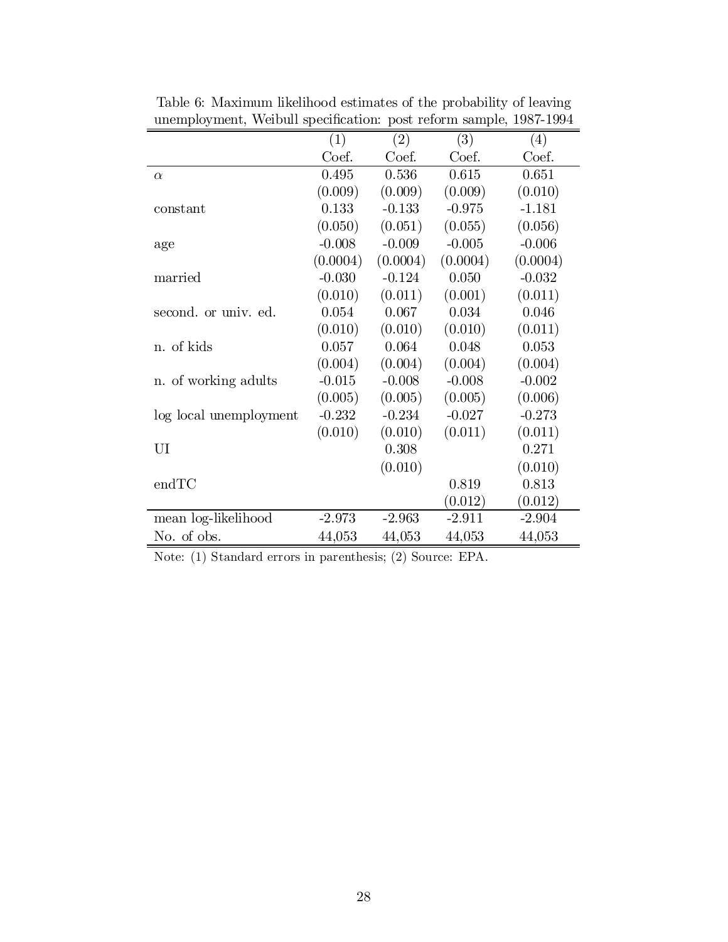|                        | (1)       | (2)      | (3)      | (4)      |
|------------------------|-----------|----------|----------|----------|
|                        | Coef.     | Coef.    | Coef.    | Coef.    |
| $\alpha$               | 0.495     | 0.536    | 0.615    | 0.651    |
|                        | (0.009)   | (0.009)  | (0.009)  | (0.010)  |
| constant               | 0.133     | $-0.133$ | $-0.975$ | $-1.181$ |
|                        | (0.050)   | (0.051)  | (0.055)  | (0.056)  |
| age                    | $-0.008$  | $-0.009$ | $-0.005$ | $-0.006$ |
|                        | (0.0004)  | (0.0004) | (0.0004) | (0.0004) |
| married                | $-0.030$  | $-0.124$ | 0.050    | $-0.032$ |
|                        | (0.010)   | (0.011)  | (0.001)  | (0.011)  |
| second. or univ. ed.   | $0.054\,$ | 0.067    | 0.034    | 0.046    |
|                        | (0.010)   | (0.010)  | (0.010)  | (0.011)  |
| n. of kids             | 0.057     | 0.064    | 0.048    | 0.053    |
|                        | (0.004)   | (0.004)  | (0.004)  | (0.004)  |
| n. of working adults   | $-0.015$  | $-0.008$ | $-0.008$ | $-0.002$ |
|                        | (0.005)   | (0.005)  | (0.005)  | (0.006)  |
| log local unemployment | $-0.232$  | $-0.234$ | $-0.027$ | $-0.273$ |
|                        | (0.010)   | (0.010)  | (0.011)  | (0.011)  |
| UI                     |           | 0.308    |          | 0.271    |
|                        |           | (0.010)  |          | (0.010)  |
| endTC                  |           |          | 0.819    | 0.813    |
|                        |           |          | (0.012)  | (0.012)  |
| mean log-likelihood    | $-2.973$  | $-2.963$ | $-2.911$ | $-2.904$ |
| No. of obs.            | 44,053    | 44,053   | 44,053   | 44,053   |

Table 6: Maximum likelihood estimates of the probability of leaving unemployment, Weibull specification: post reform sample,  $1987-1994$ 

Note: (1) Standard errors in parenthesis; (2) Source: EPA.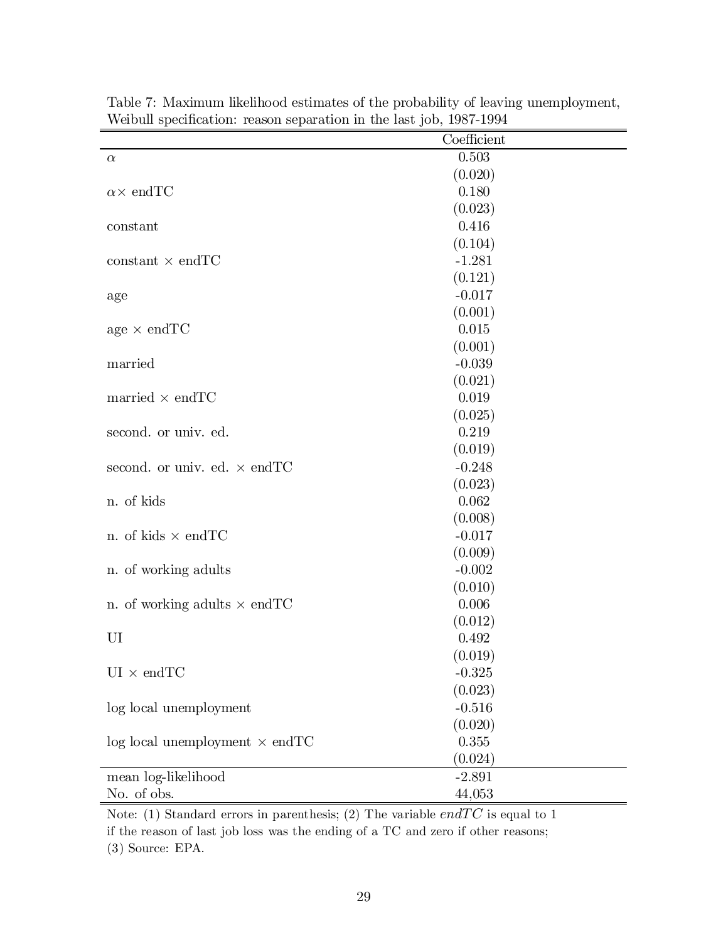| relative position officially reputation in the have job, 1991 1991 | Coefficient |
|--------------------------------------------------------------------|-------------|
| $\alpha$                                                           | 0.503       |
|                                                                    | (0.020)     |
| $\alpha \times \text{endTC}$                                       | 0.180       |
|                                                                    | (0.023)     |
| constant                                                           | 0.416       |
|                                                                    | (0.104)     |
| $constant \times endTC$                                            | $-1.281$    |
|                                                                    | (0.121)     |
| age                                                                | $-0.017$    |
|                                                                    | (0.001)     |
| age $\times$ endTC                                                 | 0.015       |
|                                                                    | (0.001)     |
| married                                                            | $-0.039$    |
|                                                                    | (0.021)     |
| married $\times$ endTC                                             | 0.019       |
|                                                                    | (0.025)     |
| second. or univ. ed.                                               | 0.219       |
|                                                                    | (0.019)     |
| second. or univ. ed. $\times$ end TC                               | $-0.248$    |
|                                                                    | (0.023)     |
| n. of kids                                                         | 0.062       |
|                                                                    | (0.008)     |
| n. of kids $\times$ end TC                                         | $-0.017$    |
|                                                                    | (0.009)     |
| n. of working adults                                               | $-0.002$    |
|                                                                    | (0.010)     |
| n. of working adults $\times$ end TC                               | 0.006       |
|                                                                    | (0.012)     |
| UI                                                                 | 0.492       |
|                                                                    | (0.019)     |
| $\text{UI} \times \text{endTC}$                                    | $-0.325$    |
|                                                                    | (0.023)     |
| log local unemployment                                             | $-0.516$    |
|                                                                    | (0.020)     |
| $log local$ unemployment $\times$ endTC                            | $0.355\,$   |
|                                                                    | (0.024)     |
| mean log-likelihood                                                | $-2.891$    |
| No. of obs.                                                        | 44,053      |

Table 7: Maximum likelihood estimates of the probability of leaving unemployment, Weibull specification: reason separation in the last job,  $1987-1994$ 

Note: (1) Standard errors in parenthesis; (2) The variable  $endTC$  is equal to 1 if the reason of last job loss was the ending of a TC and zero if other reasons; (3) Source: EPA.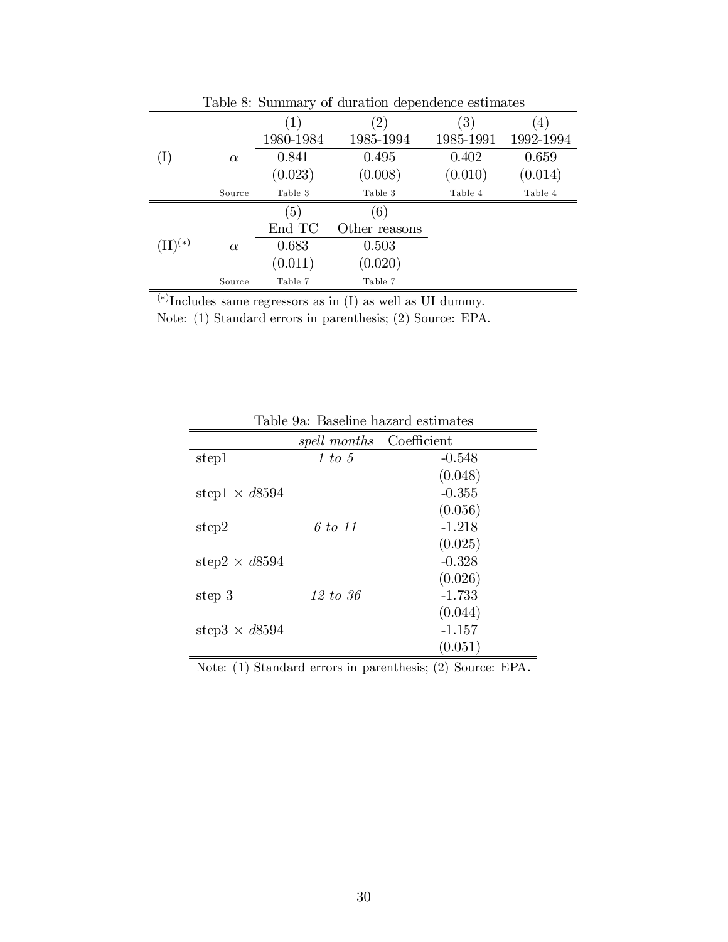|              |          |                  | Table 8: Summary of duration dependence estimates |                  |           |
|--------------|----------|------------------|---------------------------------------------------|------------------|-----------|
|              |          | $\left(1\right)$ | $\left( 2\right)$                                 | $\left(3\right)$ | (4)       |
|              |          | 1980-1984        | 1985-1994                                         | 1985-1991        | 1992-1994 |
| (I)          | $\alpha$ | 0.841            | 0.495                                             | 0.402            | 0.659     |
|              |          | (0.023)          | (0.008)                                           | (0.010)          | (0.014)   |
|              | Source   | Table 3          | Table 3                                           | Table 4          | Table 4   |
|              |          | (5)              | (6)                                               |                  |           |
|              |          | End TC           | Other reasons                                     |                  |           |
| $(II)^{(*)}$ | $\alpha$ | 0.683            | 0.503                                             |                  |           |
|              |          | (0.011)          | (0.020)                                           |                  |           |
|              | Source   | Table 7          | Table 7                                           |                  |           |
| $\sqrt{2}$   |          |                  |                                                   |                  |           |

Table 8: Summary of duration dependence estimate

 $(*)$ Includes same regressors as in (I) as well as UI dummy.

Note: (1) Standard errors in parenthesis; (2) Source: EPA.

|                       | spell months | Coefficient |
|-----------------------|--------------|-------------|
| step1                 | 1 to 5       | $-0.548$    |
|                       |              | (0.048)     |
| step1 $\times$ d8594  |              | $-0.355$    |
|                       |              | (0.056)     |
| step2                 | 6 to 11      | $-1.218$    |
|                       |              | (0.025)     |
| step $2 \times d8594$ |              | $-0.328$    |
|                       |              | (0.026)     |
| step 3                | 12 to 36     | $-1.733$    |
|                       |              | (0.044)     |
| step $3 \times d8594$ |              | $-1.157$    |
|                       |              | (0.051)     |

Table 9a: Baseline hazard estimates

Note: (1) Standard errors in parenthesis; (2) Source: EPA.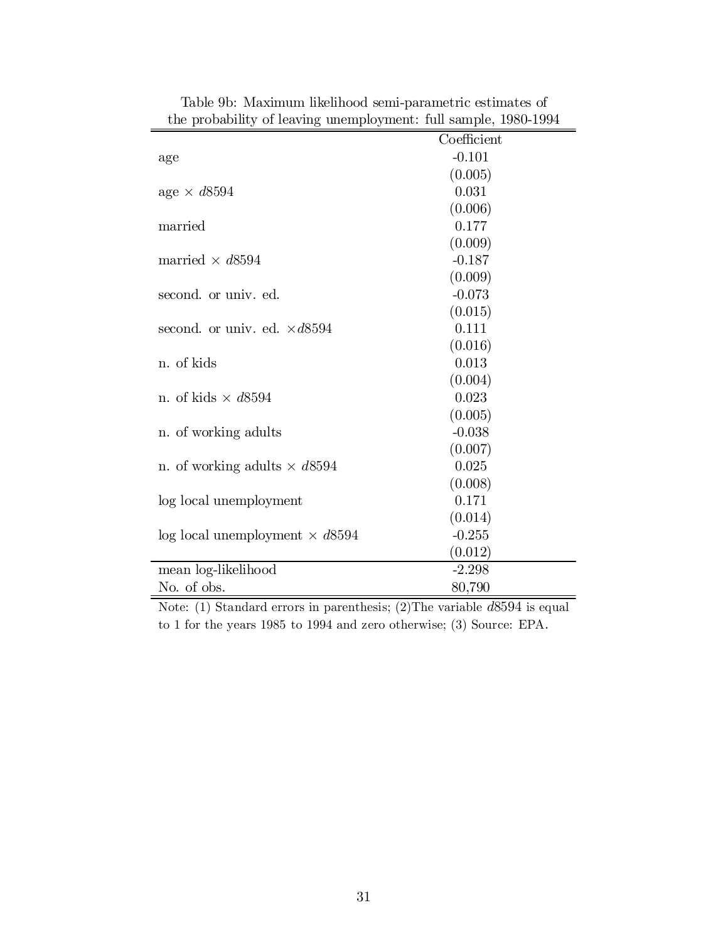| the probability of leaving unemployment. This sample, 1900-1994 |             |
|-----------------------------------------------------------------|-------------|
|                                                                 | Coefficient |
| age                                                             | $-0.101$    |
|                                                                 | (0.005)     |
| age $\times d8594$                                              | 0.031       |
|                                                                 | (0.006)     |
| married                                                         | 0.177       |
|                                                                 | (0.009)     |
| married $\times d8594$                                          | $-0.187$    |
|                                                                 | (0.009)     |
| second. or univ. ed.                                            | $-0.073$    |
|                                                                 | (0.015)     |
| second. or univ. ed. $\times d8594$                             | 0.111       |
|                                                                 | (0.016)     |
| n. of kids                                                      | 0.013       |
|                                                                 | (0.004)     |
| n. of kids $\times d8594$                                       | 0.023       |
|                                                                 | (0.005)     |
| n. of working adults                                            | $-0.038$    |
|                                                                 | (0.007)     |
| n. of working adults $\times d8594$                             | 0.025       |
|                                                                 | (0.008)     |
| log local unemployment                                          | 0.171       |
|                                                                 | (0.014)     |
| $log local$ unemployment $\times d8594$                         | $-0.255$    |
|                                                                 | (0.012)     |
| mean log-likelihood                                             | $-2.298$    |
| No. of obs.                                                     | 80,790      |

Table 9b: Maximum likelihood semi-parametric estimates of the probability of leaving unemployment: full sample, 1980-1994

Note: (1) Standard errors in parenthesis; (2)The variable d8594 is equal to 1 for the years 1985 to 1994 and zero otherwise; (3) Source: EPA.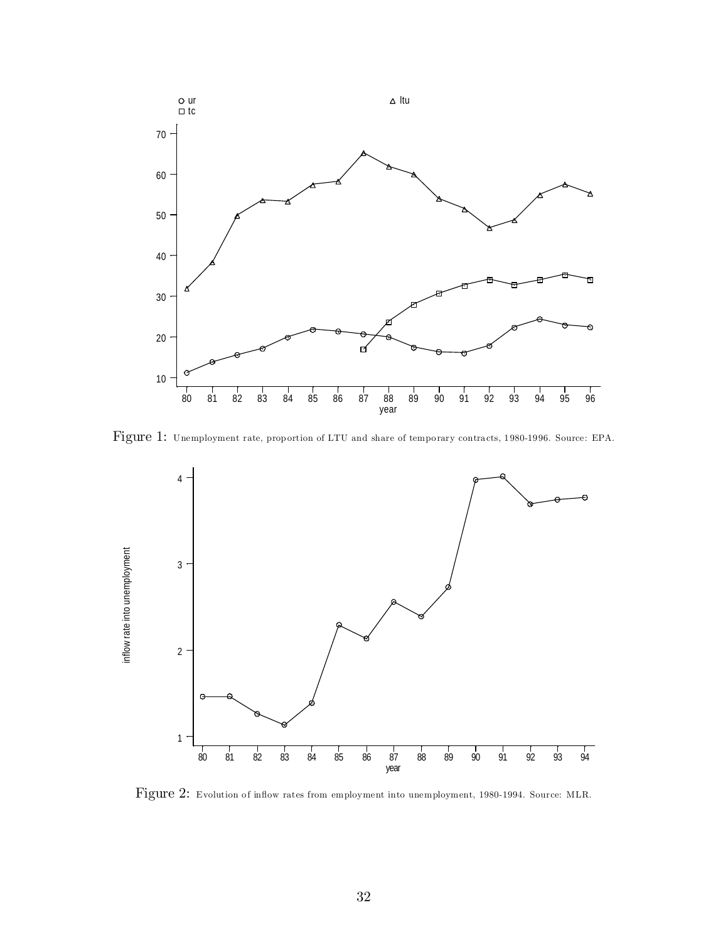

Figure 1: Unemployment rate, proportion of LTU and share of temporary contracts, 1980-1996. Source: EPA.



Figure 2: Evolution of inflow rates from employment into unemployment, 1980-1994. Source: MLR.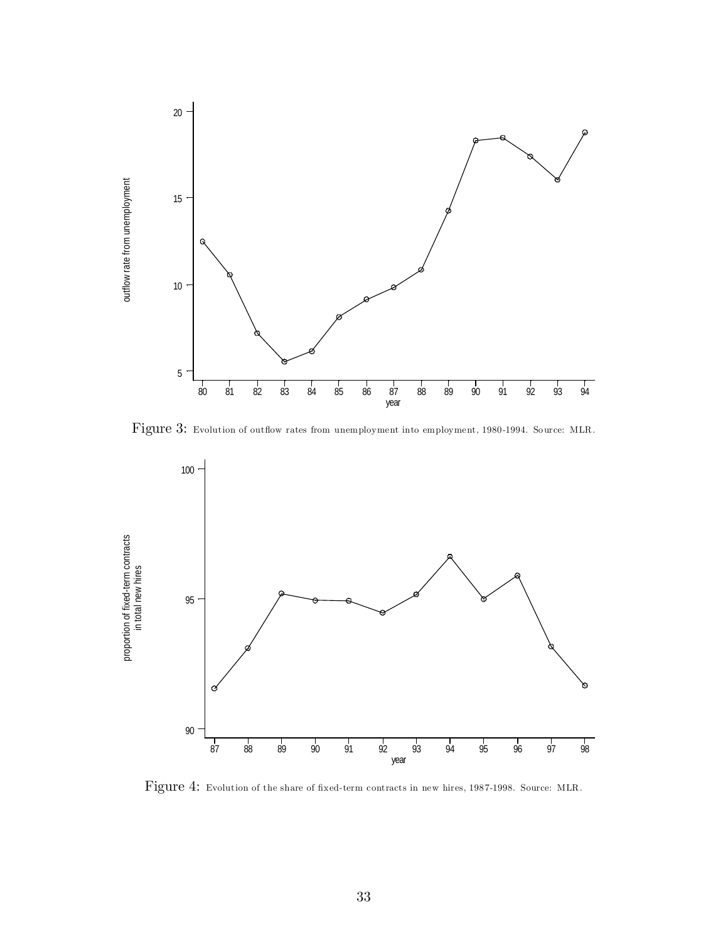

Figure 3: Evolution of outflow rates from unemployment into employment, 1980-1994. Source: MLR.



Figure 4: Evolution of the share of fixed-term contracts in new hires, 1987-1998. Source: MLR.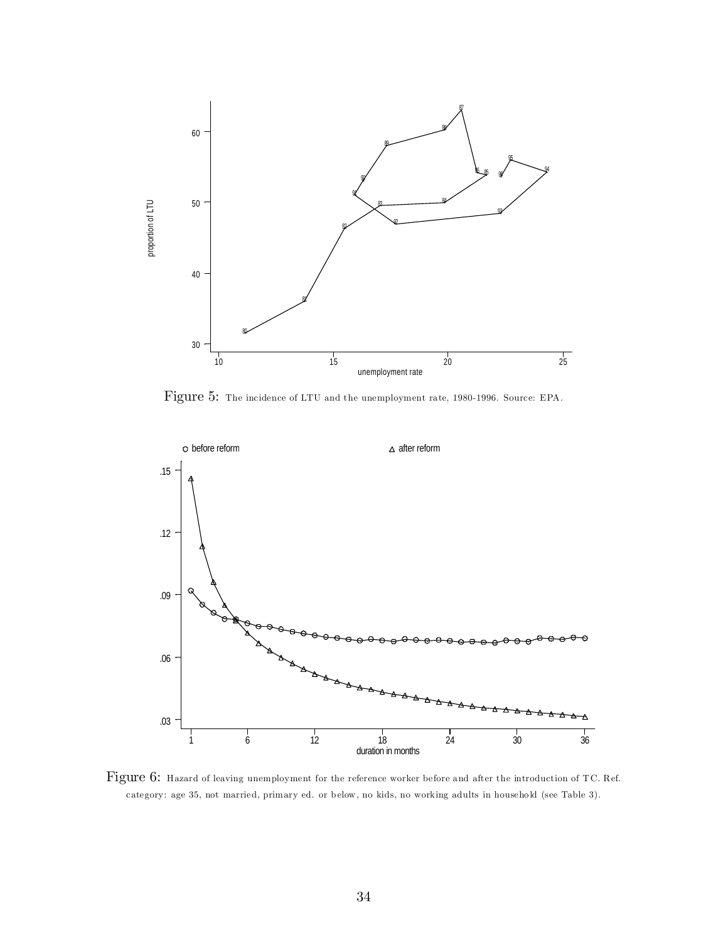

Figure 5: The incidence of LTU and the unemployment rate, 1980-1996. Source: EPA.



Figure 6: Hazard of leaving unemployment for the reference worker before and after the introduction of TC. Ref. category: age 35, not married, primary ed. or below, no kids, no working adults in household (see Table 3).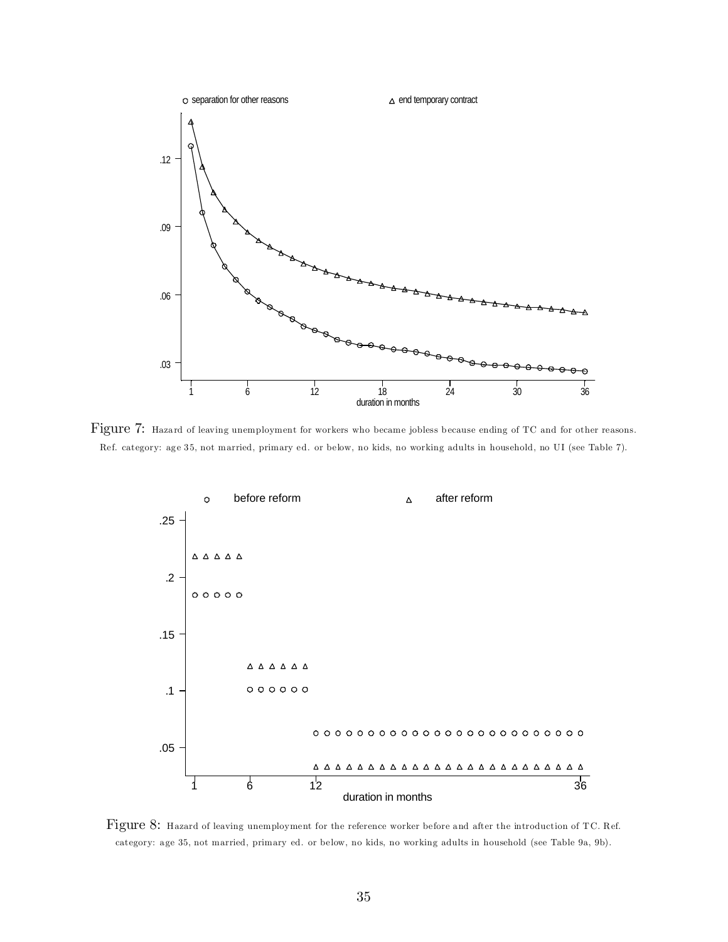

Figure 7: Hazard of leaving unemployment for workers who became jobless because ending of TC and for other reasons. Ref. category: age 35, not married, primary ed. or below, no kids, no working adults in household, no UI (see Table 7).



Figure 8: Hazard of leaving unemployment for the reference worker before and after the introduction of TC. Ref. category: age 35, not married, primary ed. or below, no kids, no working adults in household (see Table 9a, 9b).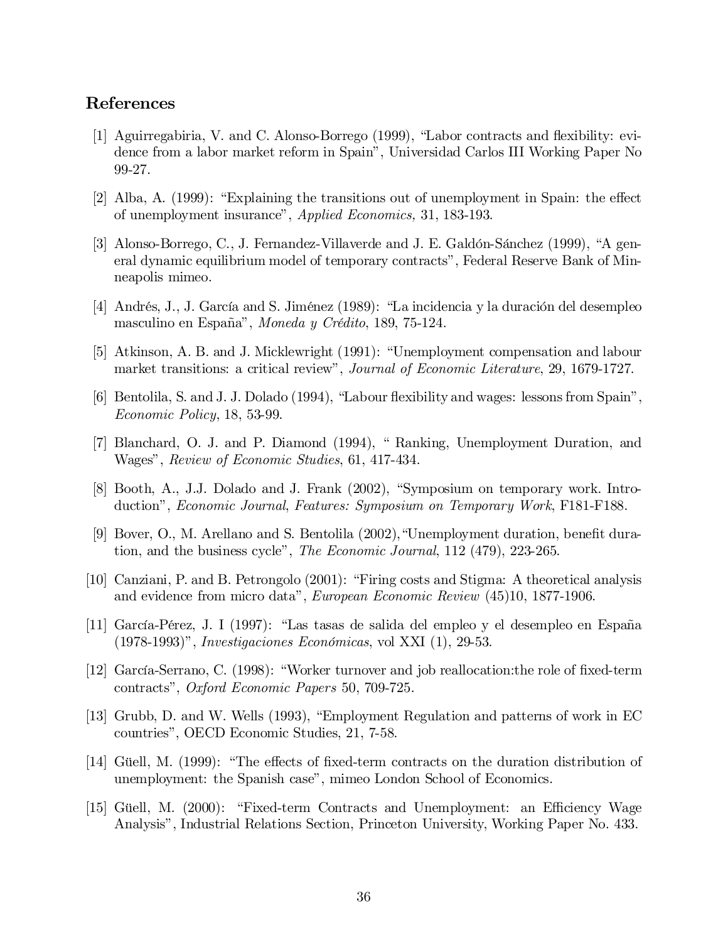#### References

- [1] Aguirregabiria, V. and C. Alonso-Borrego (1999), "Labor contracts and flexibility: evidence from a labor market reform in Spain", Universidad Carlos III Working Paper No 99-27.
- $[2]$  Alba, A.  $(1999)$ : "Explaining the transitions out of unemployment in Spain: the effect of unemployment insurance", Applied Economics, 31, 183-193.
- [3] Alonso-Borrego, C., J. Fernandez-Villaverde and J. E. Galdón-Sánchez (1999), "A general dynamic equilibrium model of temporary contracts", Federal Reserve Bank of Minneapolis mimeo.
- [4] Andrés, J., J. García and S. Jiménez (1989): "La incidencia y la duración del desempleo masculino en España", Moneda y Crédito, 189, 75-124.
- [5] Atkinson, A. B. and J. Micklewright (1991): "Unemployment compensation and labour market transitions: a critical review", *Journal of Economic Literature*, 29, 1679-1727.
- [6] Bentolila, S. and J. J. Dolado (1994), "Labour flexibility and wages: lessons from Spain", Economic Policy, 18, 53-99.
- [7] Blanchard, O. J. and P. Diamond (1994), " Ranking, Unemployment Duration, and Wages", Review of Economic Studies, 61, 417-434.
- [8] Booth, A., J.J. Dolado and J. Frank (2002), "Symposium on temporary work. Introduction", Economic Journal, Features: Symposium on Temporary Work, F181-F188.
- [9] Bover, O., M. Arellano and S. Bentolila  $(2002)$ , "Unemployment duration, benefit duration, and the business cycle", The Economic Journal, 112 (479), 223-265.
- [10] Canziani, P. and B. Petrongolo (2001): "Firing costs and Stigma: A theoretical analysis and evidence from micro data", European Economic Review (45)10, 1877-1906.
- [11] García-Pérez, J. I (1997): "Las tasas de salida del empleo y el desempleo en España (1978-1993)", Investigaciones Económicas, vol XXI (1), 29-53.
- [12] García-Serrano, C. (1998): "Worker turnover and job reallocation: the role of fixed-term contracts", Oxford Economic Papers 50, 709-725.
- [13] Grubb, D. and W. Wells (1993), "Employment Regulation and patterns of work in EC countries", OECD Economic Studies, 21, 7-58.
- [14] Güell, M. (1999): "The effects of fixed-term contracts on the duration distribution of unemployment: the Spanish case", mimeo London School of Economics.
- [15] Güell, M. (2000): "Fixed-term Contracts and Unemployment: an Efficiency Wage Analysis", Industrial Relations Section, Princeton University, Working Paper No. 433.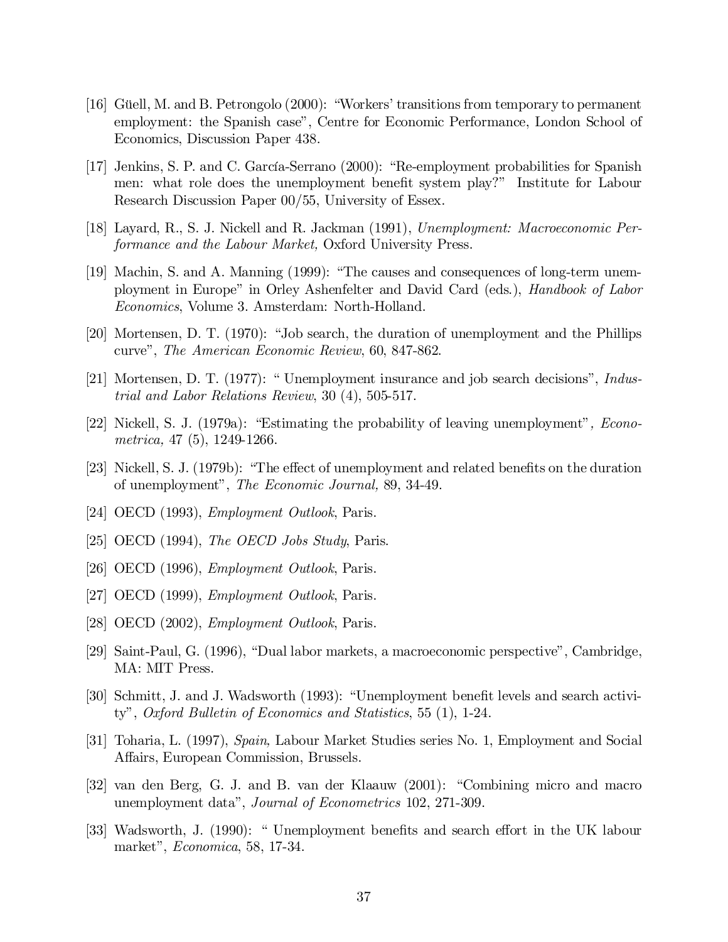- [16] Güell, M. and B. Petrongolo (2000): "Workers' transitions from temporary to permanent employment: the Spanish case", Centre for Economic Performance, London School of Economics, Discussion Paper 438.
- [17] Jenkins, S. P. and C. García-Serrano (2000): "Re-employment probabilities for Spanish men: what role does the unemployment benefit system play?" Institute for Labour Research Discussion Paper 00/55, University of Essex.
- [18] Layard, R., S. J. Nickell and R. Jackman (1991), Unemployment: Macroeconomic Performance and the Labour Market, Oxford University Press.
- [19] Machin, S. and A. Manning (1999): "The causes and consequences of long-term unemployment in Europe" in Orley Ashenfelter and David Card (eds.), Handbook of Labor Economics, Volume 3. Amsterdam: North-Holland.
- [20] Mortensen, D. T. (1970): "Job search, the duration of unemployment and the Phillips curve", The American Economic Review, 60, 847-862.
- [21] Mortensen, D. T. (1977): " Unemployment insurance and job search decisions", Industrial and Labor Relations Review, 30 (4), 505-517.
- [22] Nickell, S. J. (1979a): "Estimating the probability of leaving unemployment", Econometrica, 47 (5), 1249-1266.
- [23] Nickell, S. J. (1979b): "The effect of unemployment and related benefits on the duration of unemployment", The Economic Journal, 89, 34-49.
- [24] OECD (1993), Employment Outlook, Paris.
- [25] OECD (1994), *The OECD Jobs Study*, Paris.
- [26] OECD (1996), *Employment Outlook*, Paris.
- [27] OECD (1999), *Employment Outlook*, Paris.
- [28] OECD (2002), Employment Outlook, Paris.
- [29] Saint-Paul, G. (1996), "Dual labor markets, a macroeconomic perspective", Cambridge, MA: MIT Press.
- [30] Schmitt, J. and J. Wadsworth (1993): "Unemployment benefit levels and search activity", Oxford Bulletin of Economics and Statistics, 55 (1), 1-24.
- [31] Toharia, L. (1997), Spain, Labour Market Studies series No. 1, Employment and Social Affairs, European Commission, Brussels.
- [32] van den Berg, G. J. and B. van der Klaauw (2001): "Combining micro and macro unemployment data", Journal of Econometrics 102, 271-309.
- [33] Wadsworth, J. (1990): " Unemployment benefits and search effort in the UK labour market", Economica, 58, 17-34.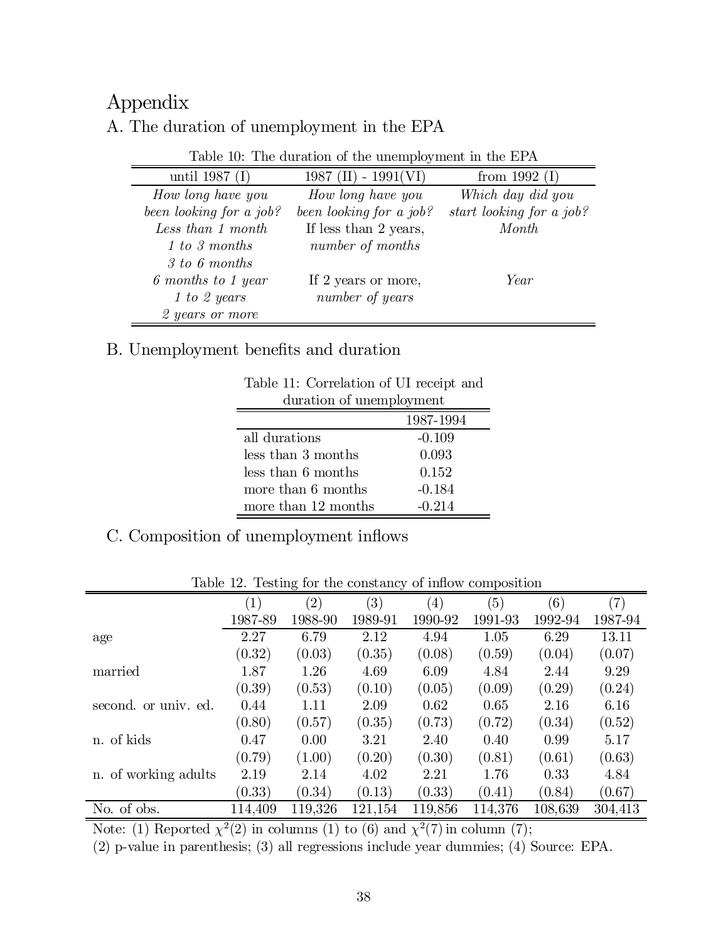## Appendix

#### A. The duration of unemployment in the EPA

|  |  |  |  |  | Table 10: The duration of the unemployment in the EPA |  |  |  |
|--|--|--|--|--|-------------------------------------------------------|--|--|--|
|--|--|--|--|--|-------------------------------------------------------|--|--|--|

| $\alpha$ and $\alpha$ and $\alpha$ are $\alpha$ and $\alpha$ and $\alpha$ are $\alpha$ and $\alpha$ and $\alpha$ and $\alpha$ |                           |                          |  |  |  |  |  |
|-------------------------------------------------------------------------------------------------------------------------------|---------------------------|--------------------------|--|--|--|--|--|
| until 1987 $(I)$                                                                                                              | $1987$ (II) - $1991$ (VI) | from 1992 $(I)$          |  |  |  |  |  |
| How long have you                                                                                                             | How long have you         | Which day did you        |  |  |  |  |  |
| been looking for a job?                                                                                                       | been looking for a job?   | start looking for a job? |  |  |  |  |  |
| Less than 1 month                                                                                                             | If less than 2 years,     | Month                    |  |  |  |  |  |
| 1 to 3 months                                                                                                                 | number of months          |                          |  |  |  |  |  |
| 3 to 6 months                                                                                                                 |                           |                          |  |  |  |  |  |
| 6 months to 1 year                                                                                                            | If 2 years or more,       | Year                     |  |  |  |  |  |
| 1 to 2 years                                                                                                                  | number of years           |                          |  |  |  |  |  |
| 2 years or more                                                                                                               |                           |                          |  |  |  |  |  |

#### B. Unemployment benefits and duration

| Table 11. Correlation of C1 feed to and |  |  |  |  |  |  |
|-----------------------------------------|--|--|--|--|--|--|
| duration of unemployment                |  |  |  |  |  |  |
| 1987-1994                               |  |  |  |  |  |  |
| $-0.109$                                |  |  |  |  |  |  |
| 0.093                                   |  |  |  |  |  |  |
| 0.152                                   |  |  |  |  |  |  |
| $-0.184$                                |  |  |  |  |  |  |
| $-0.214$                                |  |  |  |  |  |  |
|                                         |  |  |  |  |  |  |

Table 11: Correlation of UI receipt and

#### C. Composition of unemployment inflows

|                      |                   | っ                 |         |                   |         |         |         |
|----------------------|-------------------|-------------------|---------|-------------------|---------|---------|---------|
|                      | $\left( 1\right)$ | $\left( 2\right)$ | (3)     | $\left( 4\right)$ | (5)     | (6)     | (7)     |
|                      | 1987-89           | 1988-90           | 1989-91 | 1990-92           | 1991-93 | 1992-94 | 1987-94 |
| age                  | 2.27              | 6.79              | 2.12    | 4.94              | 1.05    | 6.29    | 13.11   |
|                      | (0.32)            | (0.03)            | (0.35)  | (0.08)            | (0.59)  | (0.04)  | (0.07)  |
| married              | 1.87              | 1.26              | 4.69    | 6.09              | 4.84    | 2.44    | 9.29    |
|                      | (0.39)            | (0.53)            | (0.10)  | (0.05)            | (0.09)  | (0.29)  | (0.24)  |
| second. or univ. ed. | 0.44              | 1.11              | 2.09    | 0.62              | 0.65    | 2.16    | 6.16    |
|                      | (0.80)            | (0.57)            | (0.35)  | (0.73)            | (0.72)  | (0.34)  | (0.52)  |
| n. of kids           | 0.47              | 0.00              | 3.21    | 2.40              | 0.40    | 0.99    | 5.17    |
|                      | (0.79)            | (1.00)            | (0.20)  | (0.30)            | (0.81)  | (0.61)  | (0.63)  |
| n. of working adults | 2.19              | 2.14              | 4.02    | 2.21              | 1.76    | 0.33    | 4.84    |
|                      | (0.33)            | (0.34)            | (0.13)  | (0.33)            | (0.41)  | (0.84)  | (0.67)  |
| No. of obs.          | 114,409           | 119,326           | 121,154 | 119,856           | 114,376 | 108,639 | 304,413 |

Table 12. Testing for the constancy of inflow composition

Note: (1) Reported  $\chi^2(2)$  in columns (1) to (6) and  $\chi^2(7)$  in column (7);

(2) p-value in parenthesis; (3) all regressions include year dummies; (4) Source: EPA.